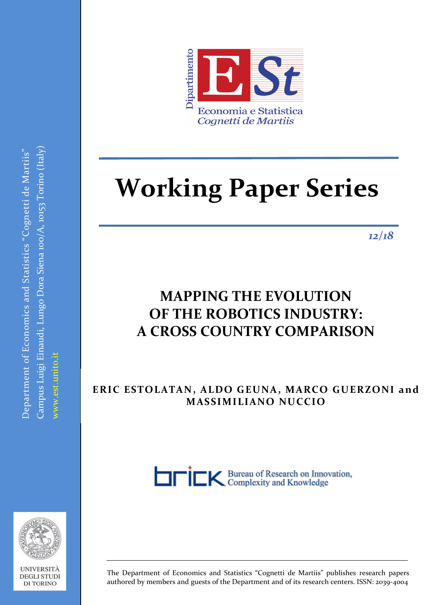

# **Working Paper Series**

*12/18*

# **MAPPING THE EVOLUTION**  $\mathbf{O}$ **F** THE ROBOTICS INDUSTRY: **A CROSS COUNTRY COMPARISON**

**ANGELA AMBROSINO ERIC ESTOLATAN, ALDO GEUNA, MARCO GUERZONI and MASSIMILIANO NUCCIO**





Department of Economics and Statistics "Cognetti de Martiis"

Campus Luigi Einaudi, Lungo Dora Siena 100/A, 10153 Torino (Italy)

Campus Luigi Einaudi, Lungo Dora Siena 100/A, 10153 Torino (Italy)  $\Omega$ Pepartment of Economics and Statistics "Cognetti de Martiis"

www.est.unito.it

UNIVERSITÀ **DEGLI STUDI DI TORINO** 

The Department of Economics and Statistics "Cognetti de Martiis" publishes research papers authored by members and guests of the Department and of its research centers. ISSN: 2039-4004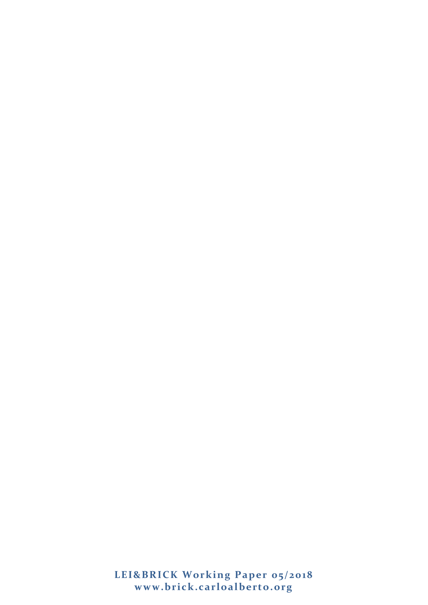**LEI&BRICK Working Paper 05/2018 www.brick.carloalberto.org**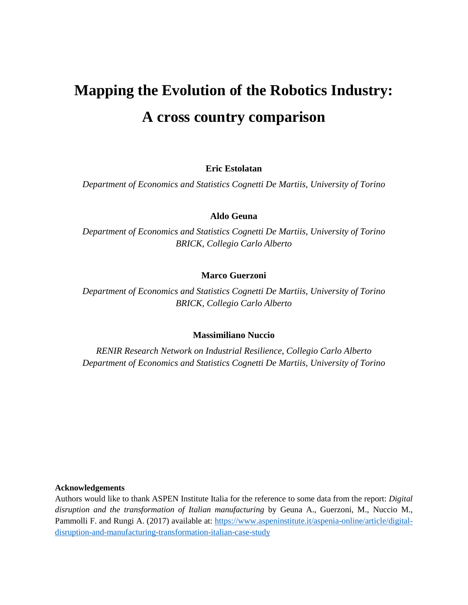# **Mapping the Evolution of the Robotics Industry: A cross country comparison**

**Eric Estolatan** 

*Department of Economics and Statistics Cognetti De Martiis, University of Torino*

# **Aldo Geuna**

*Department of Economics and Statistics Cognetti De Martiis, University of Torino BRICK, Collegio Carlo Alberto*

# **Marco Guerzoni**

*Department of Economics and Statistics Cognetti De Martiis, University of Torino BRICK, Collegio Carlo Alberto*

# **Massimiliano Nuccio**

*RENIR Research Network on Industrial Resilience, Collegio Carlo Alberto Department of Economics and Statistics Cognetti De Martiis, University of Torino*

#### **Acknowledgements**

Authors would like to thank ASPEN Institute Italia for the reference to some data from the report: *Digital disruption and the transformation of Italian manufacturing* by Geuna A., Guerzoni, M., Nuccio M., Pammolli F. and Rungi A. (2017) available at: [https://www.aspeninstitute.it/aspenia-online/article/digital](https://www.aspeninstitute.it/aspenia-online/article/digital-disruption-and-manufacturing-transformation-italian-case-study)[disruption-and-manufacturing-transformation-italian-case-study](https://www.aspeninstitute.it/aspenia-online/article/digital-disruption-and-manufacturing-transformation-italian-case-study)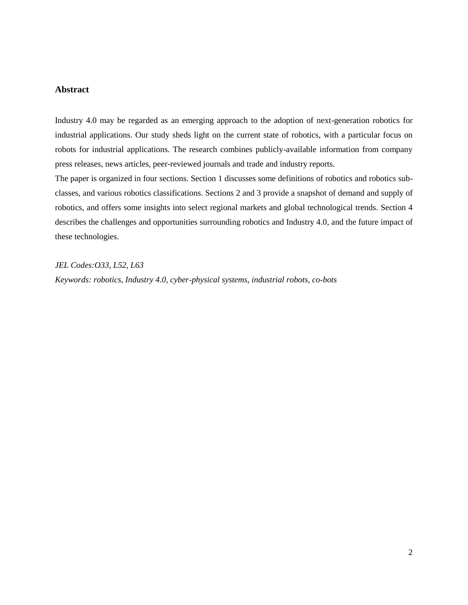# **Abstract**

Industry 4.0 may be regarded as an emerging approach to the adoption of next-generation robotics for industrial applications. Our study sheds light on the current state of robotics, with a particular focus on robots for industrial applications. The research combines publicly-available information from company press releases, news articles, peer-reviewed journals and trade and industry reports.

The paper is organized in four sections. Section 1 discusses some definitions of robotics and robotics subclasses, and various robotics classifications. Sections 2 and 3 provide a snapshot of demand and supply of robotics, and offers some insights into select regional markets and global technological trends. Section 4 describes the challenges and opportunities surrounding robotics and Industry 4.0, and the future impact of these technologies.

*JEL Codes:O33, L52, L63 Keywords: robotics, Industry 4.0, cyber-physical systems, industrial robots, co-bots*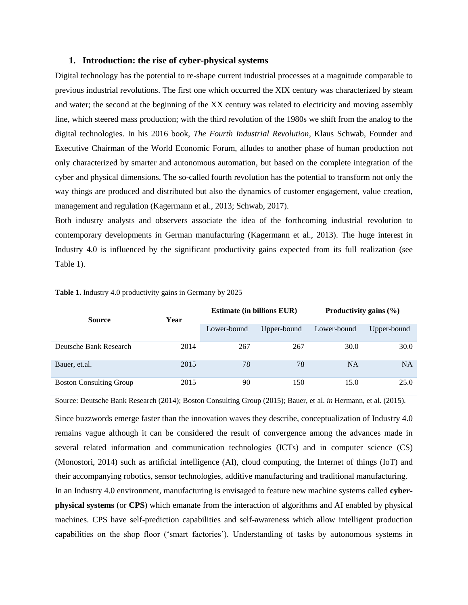#### **1. Introduction: the rise of cyber-physical systems**

Digital technology has the potential to re-shape current industrial processes at a magnitude comparable to previous industrial revolutions. The first one which occurred the XIX century was characterized by steam and water; the second at the beginning of the XX century was related to electricity and moving assembly line, which steered mass production; with the third revolution of the 1980s we shift from the analog to the digital technologies. In his 2016 book, *The Fourth Industrial Revolution*, Klaus Schwab, Founder and Executive Chairman of the World Economic Forum, alludes to another phase of human production not only characterized by smarter and autonomous automation, but based on the complete integration of the cyber and physical dimensions. The so-called fourth revolution has the potential to transform not only the way things are produced and distributed but also the dynamics of customer engagement, value creation, management and regulation (Kagermann et al., 2013; Schwab, 2017).

Both industry analysts and observers associate the idea of the forthcoming industrial revolution to contemporary developments in German manufacturing (Kagermann et al., 2013). The huge interest in Industry 4.0 is influenced by the significant productivity gains expected from its full realization (see Table 1).

|                                |      | <b>Estimate (in billions EUR)</b> |             | Productivity gains (%) |             |
|--------------------------------|------|-----------------------------------|-------------|------------------------|-------------|
| <b>Source</b>                  | Year |                                   |             |                        |             |
|                                |      | Lower-bound                       | Upper-bound | Lower-bound            | Upper-bound |
| Deutsche Bank Research         | 2014 | 267                               | 267         | 30.0                   | 30.0        |
| Bauer, et.al.                  | 2015 | 78                                | 78          | <b>NA</b>              | <b>NA</b>   |
| <b>Boston Consulting Group</b> | 2015 | 90                                | 150         | 15.0                   | 25.0        |

**Table 1.** Industry 4.0 productivity gains in Germany by 2025

Source: Deutsche Bank Research (2014); Boston Consulting Group (2015); Bauer, et al. *in* Hermann, et al. (2015).

Since buzzwords emerge faster than the innovation waves they describe, conceptualization of Industry 4.0 remains vague although it can be considered the result of convergence among the advances made in several related information and communication technologies (ICTs) and in computer science (CS) (Monostori, 2014) such as artificial intelligence (AI), cloud computing, the Internet of things (IoT) and their accompanying robotics, sensor technologies, additive manufacturing and traditional manufacturing.

In an Industry 4.0 environment, manufacturing is envisaged to feature new machine systems called **cyberphysical systems** (or **CPS**) which emanate from the interaction of algorithms and AI enabled by physical machines. CPS have self-prediction capabilities and self-awareness which allow intelligent production capabilities on the shop floor ('smart factories'). Understanding of tasks by autonomous systems in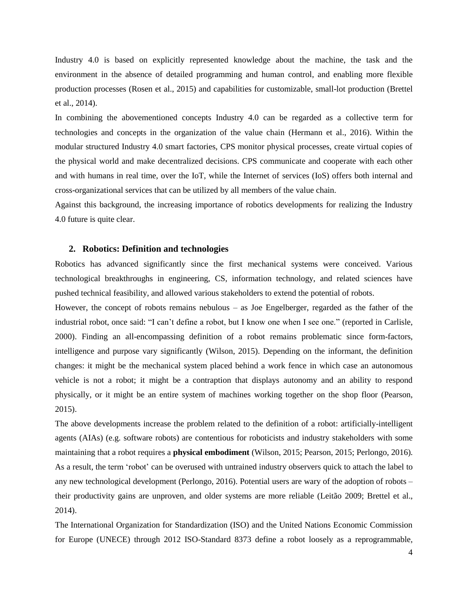Industry 4.0 is based on explicitly represented knowledge about the machine, the task and the environment in the absence of detailed programming and human control, and enabling more flexible production processes (Rosen et al., 2015) and capabilities for customizable, small-lot production (Brettel et al., 2014).

In combining the abovementioned concepts Industry 4.0 can be regarded as a collective term for technologies and concepts in the organization of the value chain (Hermann et al., 2016). Within the modular structured Industry 4.0 smart factories, CPS monitor physical processes, create virtual copies of the physical world and make decentralized decisions. CPS communicate and cooperate with each other and with humans in real time, over the IoT, while the Internet of services (IoS) offers both internal and cross-organizational services that can be utilized by all members of the value chain.

Against this background, the increasing importance of robotics developments for realizing the Industry 4.0 future is quite clear.

#### **2. Robotics: Definition and technologies**

Robotics has advanced significantly since the first mechanical systems were conceived. Various technological breakthroughs in engineering, CS, information technology, and related sciences have pushed technical feasibility, and allowed various stakeholders to extend the potential of robots.

However, the concept of robots remains nebulous – as Joe Engelberger, regarded as the father of the industrial robot, once said: "I can't define a robot, but I know one when I see one." (reported in [Carlisle,](http://ieeexplore.ieee.org/abstract/document/844134/)  [2000\)](http://ieeexplore.ieee.org/abstract/document/844134/). Finding an all-encompassing definition of a robot remains problematic since form-factors, intelligence and purpose vary significantly (Wilson, 2015). Depending on the informant, the definition changes: it might be the mechanical system placed behind a work fence in which case an autonomous vehicle is not a robot; it might be a contraption that displays autonomy and an ability to respond physically, or it might be an entire system of machines working together on the shop floor (Pearson, 2015).

The above developments increase the problem related to the definition of a robot: artificially-intelligent agents (AIAs) (e.g. software robots) are contentious for roboticists and industry stakeholders with some maintaining that a robot requires a **physical embodiment** (Wilson, 2015; Pearson, 2015; Perlongo, 2016). As a result, the term 'robot' can be overused with untrained industry observers quick to attach the label to any new technological development (Perlongo, 2016). Potential users are wary of the adoption of robots – their productivity gains are unproven, and older systems are more reliable (Leitão 2009; Brettel et al., 2014).

The International Organization for Standardization (ISO) and the United Nations Economic Commission for Europe (UNECE) through 2012 ISO-Standard 8373 define a robot loosely as a reprogrammable,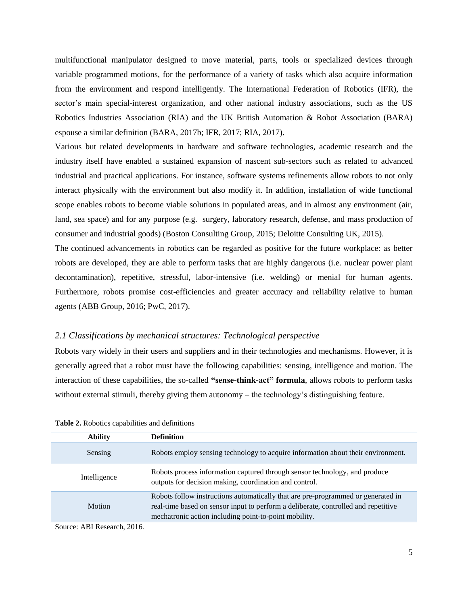multifunctional manipulator designed to move material, parts, tools or specialized devices through variable programmed motions, for the performance of a variety of tasks which also acquire information from the environment and respond intelligently. The International Federation of Robotics (IFR), the sector's main special-interest organization, and other national industry associations, such as the US Robotics Industries Association (RIA) and the UK British Automation & Robot Association (BARA) espouse a similar definition [\(BARA, 2017b](http://www.bara.org.uk/definition-of-robots.html); [IFR, 2017;](https://ifr.org/standardisation) [RIA, 2017\)](https://www.robotics.org/robotic-content.cfm/Robotics/Industrial-Robot-Industry-and-All-It-Entails/id/142).

Various but related developments in hardware and software technologies, academic research and the industry itself have enabled a sustained expansion of nascent sub-sectors such as related to advanced industrial and practical applications. For instance, software systems refinements allow robots to not only interact physically with the environment but also modify it. In addition, installation of wide functional scope enables robots to become viable solutions in populated areas, and in almost any environment (air, land, sea space) and for any purpose (e.g. surgery, laboratory research, defense, and mass production of consumer and industrial goods) (Boston Consulting Group, 2015; Deloitte Consulting UK, 2015).

The continued advancements in robotics can be regarded as positive for the future workplace: as better robots are developed, they are able to perform tasks that are highly dangerous (i.e. nuclear power plant decontamination), repetitive, stressful, labor-intensive (i.e. welding) or menial for human agents. Furthermore, robots promise cost-efficiencies and greater accuracy and reliability relative to human agents (ABB Group, 2016; PwC, 2017).

# *2.1 Classifications by mechanical structures: Technological perspective*

Robots vary widely in their users and suppliers and in their technologies and mechanisms. However, it is generally agreed that a robot must have the following capabilities: sensing, intelligence and motion. The interaction of these capabilities, the so-called **"sense-think-act" formula**, allows robots to perform tasks without external stimuli, thereby giving them autonomy – the technology's distinguishing feature.

| <b>Ability</b> | <b>Definition</b>                                                                                                                                                                                                               |
|----------------|---------------------------------------------------------------------------------------------------------------------------------------------------------------------------------------------------------------------------------|
| Sensing        | Robots employ sensing technology to acquire information about their environment.                                                                                                                                                |
| Intelligence   | Robots process information captured through sensor technology, and produce<br>outputs for decision making, coordination and control.                                                                                            |
| <b>Motion</b>  | Robots follow instructions automatically that are pre-programmed or generated in<br>real-time based on sensor input to perform a deliberate, controlled and repetitive<br>mechatronic action including point-to-point mobility. |

| Table 2. Robotics capabilities and definitions |
|------------------------------------------------|
|------------------------------------------------|

Source: ABI Research, 2016*.*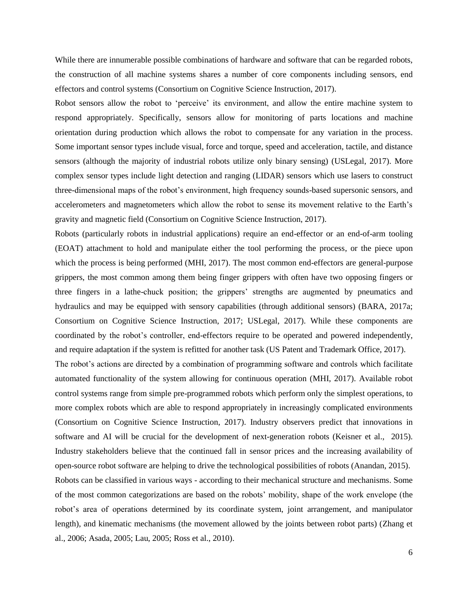While there are innumerable possible combinations of hardware and software that can be regarded robots, the construction of all machine systems shares a number of core components including sensors, end effectors and control systems (Consortium on Cognitive Science Instruction, 2017).

Robot sensors allow the robot to 'perceive' its environment, and allow the entire machine system to respond appropriately. Specifically, sensors allow for monitoring of parts locations and machine orientation during production which allows the robot to compensate for any variation in the process. Some important sensor types include visual, force and torque, speed and acceleration, tactile, and distance sensors (although the majority of industrial robots utilize only binary sensing) (USLegal, 2017). More complex sensor types include light detection and ranging (LIDAR) sensors which use lasers to construct three-dimensional maps of the robot's environment, high frequency sounds-based supersonic sensors, and accelerometers and magnetometers which allow the robot to sense its movement relative to the Earth's gravity and magnetic field (Consortium on Cognitive Science Instruction, 2017).

Robots (particularly robots in industrial applications) require an end-effector or an end-of-arm tooling (EOAT) attachment to hold and manipulate either the tool performing the process, or the piece upon which the process is being performed (MHI, 2017). The most common end-effectors are general-purpose grippers, the most common among them being finger grippers with often have two opposing fingers or three fingers in a lathe-chuck position; the grippers' strengths are augmented by pneumatics and hydraulics and may be equipped with sensory capabilities (through additional sensors) (BARA, 2017a; Consortium on Cognitive Science Instruction, 2017; USLegal, 2017). While these components are coordinated by the robot's controller, end-effectors require to be operated and powered independently, and require adaptation if the system is refitted for another task (US Patent and Trademark Office, 2017).

The robot's actions are directed by a combination of programming software and controls which facilitate automated functionality of the system allowing for continuous operation (MHI, 2017). Available robot control systems range from simple pre-programmed robots which perform only the simplest operations, to more complex robots which are able to respond appropriately in increasingly complicated environments (Consortium on Cognitive Science Instruction, 2017). Industry observers predict that innovations in software and AI will be crucial for the development of next-generation robots (Keisner et al., 2015). Industry stakeholders believe that the continued fall in sensor prices and the increasing availability of open-source robot software are helping to drive the technological possibilities of robots (Anandan, 2015). Robots can be classified in various ways - according to their mechanical structure and mechanisms. Some of the most common categorizations are based on the robots' mobility, shape of the work envelope (the robot's area of operations determined by its coordinate system, joint arrangement, and manipulator length), and kinematic mechanisms (the movement allowed by the joints between robot parts) (Zhang et al., 2006; Asada, 2005; Lau, 2005; Ross et al., 2010).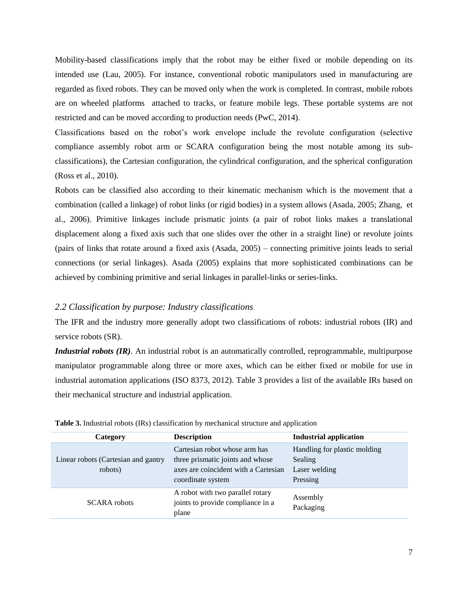Mobility-based classifications imply that the robot may be either fixed or mobile depending on its intended use (Lau, 2005). For instance, conventional robotic manipulators used in manufacturing are regarded as fixed robots. They can be moved only when the work is completed. In contrast, mobile robots are on wheeled platforms attached to tracks, or feature mobile legs. These portable systems are not restricted and can be moved according to production needs (PwC, 2014).

Classifications based on the robot's work envelope include the revolute configuration (selective compliance assembly robot arm or SCARA configuration being the most notable among its subclassifications), the Cartesian configuration, the cylindrical configuration, and the spherical configuration (Ross et [al., 2010\)](https://www.g-w.com/pdf/sampchap/9781605253213_ch02.pdf).

Robots can be classified also according to their kinematic mechanism which is the movement that a combination (called a linkage) of robot links (or rigid bodies) in a system allows [\(Asada, 2005;](file:///C:/Users/nuccio/Desktop/T2M/Aldo/Zhang,%20et.al.,%202006) [Zhang, et](https://www.cs.cmu.edu/~rapidproto/mechanisms/chpt4.html)  [al., 2006\)](https://www.cs.cmu.edu/~rapidproto/mechanisms/chpt4.html). Primitive linkages include prismatic joints (a pair of robot links makes a translational displacement along a fixed axis such that one slides over the other in a straight line) or revolute joints (pairs of links that rotate around a fixed axis (Asada, 2005) – connecting primitive joints leads to serial connections (or serial linkages). Asada (2005) explains that more sophisticated combinations can be achieved by combining primitive and serial linkages in parallel-links or series-links.

# *2.2 Classification by purpose: Industry classifications*

The IFR and the industry more generally adopt two classifications of robots: industrial robots (IR) and service robots (SR).

*Industrial robots (IR)*. An industrial robot is an automatically controlled, reprogrammable, multipurpose manipulator programmable along three or more axes, which can be either fixed or mobile for use in industrial automation applications (ISO 8373, 2012). Table 3 provides a list of the available IRs based on their mechanical structure and industrial application.

| Category                                       | <b>Description</b>                                                                                                             | Industrial application                                               |
|------------------------------------------------|--------------------------------------------------------------------------------------------------------------------------------|----------------------------------------------------------------------|
| Linear robots (Cartesian and gantry<br>robots) | Cartesian robot whose arm has<br>three prismatic joints and whose<br>axes are coincident with a Cartesian<br>coordinate system | Handling for plastic molding<br>Sealing<br>Laser welding<br>Pressing |
| <b>SCARA</b> robots                            | A robot with two parallel rotary<br>joints to provide compliance in a<br>plane                                                 | Assembly<br>Packaging                                                |

| Table 3. Industrial robots (IRs) classification by mechanical structure and application |  |  |  |  |  |  |
|-----------------------------------------------------------------------------------------|--|--|--|--|--|--|
|-----------------------------------------------------------------------------------------|--|--|--|--|--|--|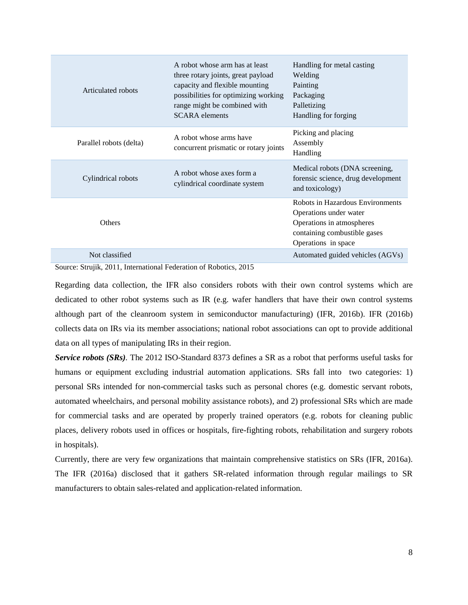| Articulated robots      | A robot whose arm has at least<br>three rotary joints, great payload<br>capacity and flexible mounting<br>possibilities for optimizing working<br>range might be combined with<br><b>SCARA</b> elements | Handling for metal casting<br>Welding<br>Painting<br>Packaging<br>Palletizing<br>Handling for forging                                          |
|-------------------------|---------------------------------------------------------------------------------------------------------------------------------------------------------------------------------------------------------|------------------------------------------------------------------------------------------------------------------------------------------------|
| Parallel robots (delta) | A robot whose arms have<br>concurrent prismatic or rotary joints                                                                                                                                        | Picking and placing<br>Assembly<br>Handling                                                                                                    |
| Cylindrical robots      | A robot whose axes form a<br>cylindrical coordinate system                                                                                                                                              | Medical robots (DNA screening,<br>forensic science, drug development<br>and toxicology)                                                        |
| Others                  |                                                                                                                                                                                                         | Robots in Hazardous Environments<br>Operations under water<br>Operations in atmospheres<br>containing combustible gases<br>Operations in space |
| Not classified          |                                                                                                                                                                                                         | Automated guided vehicles (AGVs)                                                                                                               |

Source: Strujik, 2011, International Federation of Robotics, 2015

Regarding data collection, the IFR also considers robots with their own control systems which are dedicated to other robot systems such as IR (e.g. wafer handlers that have their own control systems although part of the cleanroom system in semiconductor manufacturing) (IFR, 2016b). IFR (2016b) collects data on IRs via its member associations; national robot associations can opt to provide additional data on all types of manipulating IRs in their region.

*Service robots (SRs).* The 2012 ISO-Standard 8373 defines a SR as a robot that performs useful tasks for humans or equipment excluding industrial automation applications. SRs fall into two categories: 1) personal SRs intended for non-commercial tasks such as personal chores (e.g. domestic servant robots, automated wheelchairs, and personal mobility assistance robots), and 2) professional SRs which are made for commercial tasks and are operated by properly trained operators (e.g. robots for cleaning public places, delivery robots used in offices or hospitals, fire-fighting robots, rehabilitation and surgery robots in hospitals).

Currently, there are very few organizations that maintain comprehensive statistics on SRs (IFR, 2016a). The IFR (2016a) disclosed that it gathers SR-related information through regular mailings to SR manufacturers to obtain sales-related and application-related information.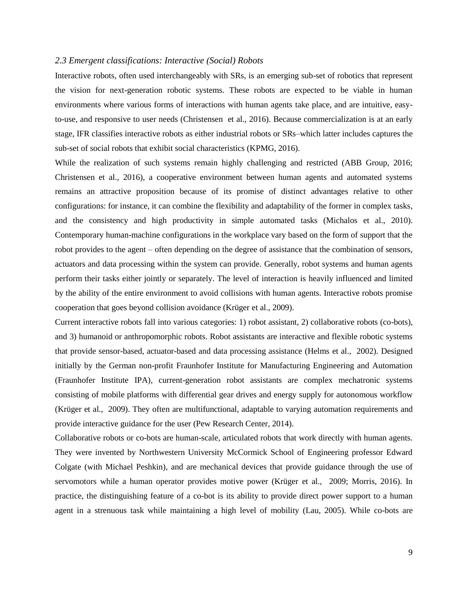#### *2.3 Emergent classifications: Interactive (Social) Robots*

Interactive robots, often used interchangeably with SRs, is an emerging sub-set of robotics that represent the vision for next-generation robotic systems. These robots are expected to be viable in human environments where various forms of interactions with human agents take place, and are intuitive, easyto-use, and responsive to user needs (Christensen et al., 2016). Because commercialization is at an early stage, IFR classifies interactive robots as either industrial robots or SRs–which latter includes captures the sub-set of social robots that exhibit social characteristics (KPMG, 2016).

While the realization of such systems remain highly challenging and restricted (ABB Group, 2016; Christensen et al., 2016), a cooperative environment between human agents and automated systems remains an attractive proposition because of its promise of distinct advantages relative to other configurations: for instance, it can combine the flexibility and adaptability of the former in complex tasks, and the consistency and high productivity in simple automated tasks (Michalos et al., 2010). Contemporary human-machine configurations in the workplace vary based on the form of support that the robot provides to the agent – often depending on the degree of assistance that the combination of sensors, actuators and data processing within the system can provide. Generally, robot systems and human agents perform their tasks either jointly or separately. The level of interaction is heavily influenced and limited by the ability of the entire environment to avoid collisions with human agents. Interactive robots promise cooperation that goes beyond collision avoidance (Krüger et al., 2009).

Current interactive robots fall into various categories: 1) robot assistant, 2) collaborative robots (co-bots), and 3) humanoid or anthropomorphic robots. Robot assistants are interactive and flexible robotic systems that provide sensor-based, actuator-based and data processing assistance (Helms et al., 2002). Designed initially by the German non-profit Fraunhofer Institute for Manufacturing Engineering and Automation (Fraunhofer Institute IPA), current-generation robot assistants are complex mechatronic systems consisting of mobile platforms with differential gear drives and energy supply for autonomous workflow (Krüger et al., 2009). They often are multifunctional, adaptable to varying automation requirements and provide interactive guidance for the user (Pew Research Center, 2014).

Collaborative robots or co-bots are human-scale, articulated robots that work directly with human agents. They were invented by Northwestern University McCormick School of Engineering professor Edward Colgate (with Michael Peshkin), and are mechanical devices that provide guidance through the use of servomotors while a human operator provides motive power (Krüger et al., 2009; Morris, 2016). In practice, the distinguishing feature of a co-bot is its ability to provide direct power support to a human agent in a strenuous task while maintaining a high level of mobility (Lau, 2005). While co-bots are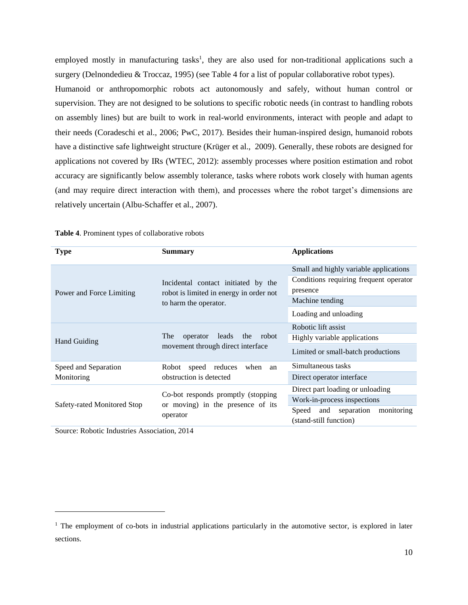employed mostly in manufacturing tasks<sup>1</sup>, they are also used for non-traditional applications such a surgery (Delnondedieu & Troccaz, 1995) (see Table 4 for a list of popular collaborative robot types). Humanoid or anthropomorphic robots act autonomously and safely, without human control or supervision. They are not designed to be solutions to specific robotic needs (in contrast to handling robots on assembly lines) but are built to work in real-world environments, interact with people and adapt to their needs (Coradeschi et al., 2006; PwC, 2017). Besides their human-inspired design, humanoid robots have a distinctive safe lightweight structure (Krüger et al., 2009). Generally, these robots are designed for applications not covered by IRs (WTEC, 2012): assembly processes where position estimation and robot accuracy are significantly below assembly tolerance, tasks where robots work closely with human agents (and may require direct interaction with them), and processes where the robot target's dimensions are relatively uncertain (Albu-Schaffer et al., 2007).

| <b>Type</b>                 | Summary                                  | <b>Applications</b>                                             |  |
|-----------------------------|------------------------------------------|-----------------------------------------------------------------|--|
|                             |                                          | Small and highly variable applications                          |  |
|                             | Incidental contact initiated by the      | Conditions requiring frequent operator                          |  |
| Power and Force Limiting    | robot is limited in energy in order not  | presence                                                        |  |
|                             | to harm the operator.                    | Machine tending                                                 |  |
|                             |                                          | Loading and unloading                                           |  |
|                             |                                          | Robotic lift assist                                             |  |
| <b>Hand Guiding</b>         | The<br>operator<br>leads<br>the<br>robot | Highly variable applications                                    |  |
|                             | movement through direct interface        | Limited or small-batch productions                              |  |
| Speed and Separation        | reduces<br>Robot<br>speed<br>when<br>an  | Simultaneous tasks                                              |  |
| Monitoring                  | obstruction is detected                  | Direct operator interface                                       |  |
|                             | Co-bot responds promptly (stopping)      | Direct part loading or unloading                                |  |
| Safety-rated Monitored Stop | or moving) in the presence of its        | Work-in-process inspections                                     |  |
|                             | operator                                 | and separation<br>monitoring<br>Speed<br>(stand-still function) |  |

**Table 4**. Prominent types of collaborative robots

Source: Robotic Industries Association, 2014

 $\overline{a}$ 

<sup>&</sup>lt;sup>1</sup> The employment of co-bots in industrial applications particularly in the automotive sector, is explored in later sections.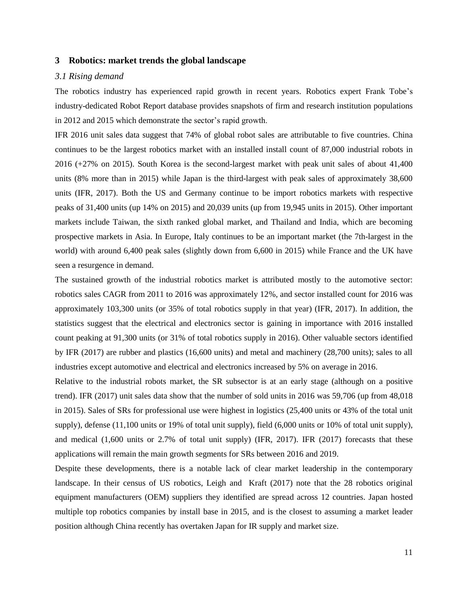#### **3 Robotics: market trends the global landscape**

#### *3.1 Rising demand*

The robotics industry has experienced rapid growth in recent years. Robotics expert Frank Tobe's industry-dedicated Robot Report database provides snapshots of firm and research institution populations in 2012 and 2015 which demonstrate the sector's rapid growth.

IFR 2016 unit sales data suggest that 74% of global robot sales are attributable to five countries. China continues to be the largest robotics market with an installed install count of 87,000 industrial robots in 2016 (+27% on 2015). South Korea is the second-largest market with peak unit sales of about 41,400 units (8% more than in 2015) while Japan is the third-largest with peak sales of approximately 38,600 units (IFR, 2017). Both the US and Germany continue to be import robotics markets with respective peaks of 31,400 units (up 14% on 2015) and 20,039 units (up from 19,945 units in 2015). Other important markets include Taiwan, the sixth ranked global market, and Thailand and India, which are becoming prospective markets in Asia. In Europe, Italy continues to be an important market (the 7th-largest in the world) with around 6,400 peak sales (slightly down from 6,600 in 2015) while France and the UK have seen a resurgence in demand.

The sustained growth of the industrial robotics market is attributed mostly to the automotive sector: robotics sales CAGR from 2011 to 2016 was approximately 12%, and sector installed count for 2016 was approximately 103,300 units (or 35% of total robotics supply in that year) (IFR, 2017). In addition, the statistics suggest that the electrical and electronics sector is gaining in importance with 2016 installed count peaking at 91,300 units (or 31% of total robotics supply in 2016). Other valuable sectors identified by IFR (2017) are rubber and plastics (16,600 units) and metal and machinery (28,700 units); sales to all industries except automotive and electrical and electronics increased by 5% on average in 2016.

Relative to the industrial robots market, the SR subsector is at an early stage (although on a positive trend). IFR (2017) unit sales data show that the number of sold units in 2016 was 59,706 (up from 48,018 in 2015). Sales of SRs for professional use were highest in logistics (25,400 units or 43% of the total unit supply), defense (11,100 units or 19% of total unit supply), field (6,000 units or 10% of total unit supply), and medical (1,600 units or 2.7% of total unit supply) (IFR, 2017). IFR (2017) forecasts that these applications will remain the main growth segments for SRs between 2016 and 2019.

Despite these developments, there is a notable lack of clear market leadership in the contemporary landscape. In their census of US robotics, Leigh and Kraft (2017) note that the 28 robotics original equipment manufacturers (OEM) suppliers they identified are spread across 12 countries. Japan hosted multiple top robotics companies by install base in 2015, and is the closest to assuming a market leader position although China recently has overtaken Japan for IR supply and market size.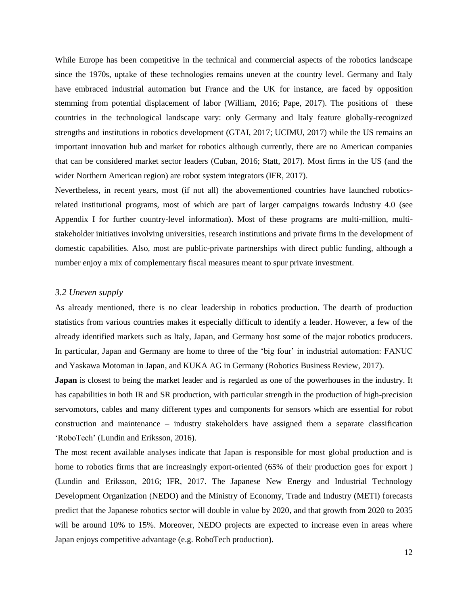While Europe has been competitive in the technical and commercial aspects of the robotics landscape since the 1970s, uptake of these technologies remains uneven at the country level. Germany and Italy have embraced industrial automation but France and the UK for instance, are faced by opposition stemming from potential displacement of labor (William, 2016; Pape, 2017). The positions of these countries in the technological landscape vary: only Germany and Italy feature globally-recognized strengths and institutions in robotics development (GTAI, 2017; UCIMU, 2017) while the US remains an important innovation hub and market for robotics although currently, there are no American companies that can be considered market sector leaders (Cuban, 2016; Statt, 2017). Most firms in the US (and the wider Northern American region) are robot system integrators (IFR, 2017).

Nevertheless, in recent years, most (if not all) the abovementioned countries have launched roboticsrelated institutional programs, most of which are part of larger campaigns towards Industry 4.0 (see Appendix I for further country-level information). Most of these programs are multi-million, multistakeholder initiatives involving universities, research institutions and private firms in the development of domestic capabilities. Also, most are public-private partnerships with direct public funding, although a number enjoy a mix of complementary fiscal measures meant to spur private investment.

# *3.2 Uneven supply*

As already mentioned, there is no clear leadership in robotics production. The dearth of production statistics from various countries makes it especially difficult to identify a leader. However, a few of the already identified markets such as Italy, Japan, and Germany host some of the major robotics producers. In particular, Japan and Germany are home to three of the 'big four' in industrial automation: FANUC and Yaskawa Motoman in Japan, and KUKA AG in Germany (Robotics Business Review, 2017).

**Japan** is closest to being the market leader and is regarded as one of the powerhouses in the industry. It has capabilities in both IR and SR production, with particular strength in the production of high-precision servomotors, cables and many different types and components for sensors which are essential for robot construction and maintenance – industry stakeholders have assigned them a separate classification 'RoboTech' (Lundin and Eriksson, 2016).

The most recent available analyses indicate that Japan is responsible for most global production and is home to robotics firms that are increasingly export-oriented (65% of their production goes for export) (Lundin and Eriksson, 2016; IFR, 2017. The Japanese New Energy and Industrial Technology Development Organization (NEDO) and the Ministry of Economy, Trade and Industry (METI) forecasts predict that the Japanese robotics sector will double in value by 2020, and that growth from 2020 to 2035 will be around 10% to 15%. Moreover, NEDO projects are expected to increase even in areas where Japan enjoys competitive advantage (e.g. RoboTech production).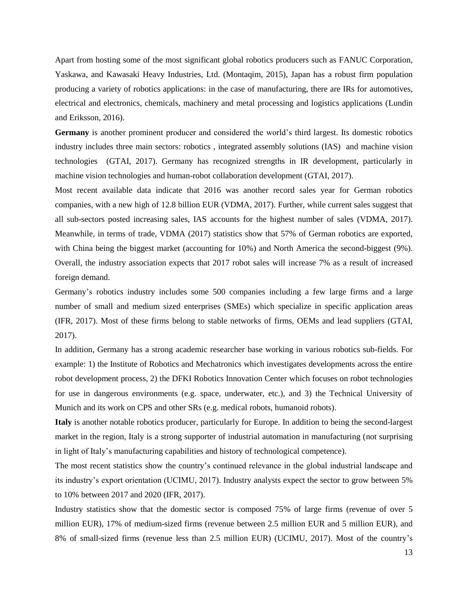Apart from hosting some of the most significant global robotics producers such as FANUC Corporation, Yaskawa, and Kawasaki Heavy Industries, Ltd. (Montaqim, 2015), Japan has a robust firm population producing a variety of robotics applications: in the case of manufacturing, there are IRs for automotives, electrical and electronics, chemicals, machinery and metal processing and logistics applications (Lundin and Eriksson, 2016).

**Germany** is another prominent producer and considered the world's third largest. Its domestic robotics industry includes three main sectors: robotics , integrated assembly solutions (IAS) and machine vision technologies (GTAI, 2017). Germany has recognized strengths in IR development, particularly in machine vision technologies and human-robot collaboration development (GTAI, 2017).

Most recent available data indicate that 2016 was another record sales year for German robotics companies, with a new high of 12.8 billion EUR (VDMA, 2017). Further, while current sales suggest that all sub-sectors posted increasing sales, IAS accounts for the highest number of sales (VDMA, 2017). Meanwhile, in terms of trade, VDMA (2017) statistics show that 57% of German robotics are exported, with China being the biggest market (accounting for 10%) and North America the second-biggest (9%). Overall, the industry association expects that 2017 robot sales will increase 7% as a result of increased foreign demand.

Germany's robotics industry includes some 500 companies including a few large firms and a large number of small and medium sized enterprises (SMEs) which specialize in specific application areas (IFR, 2017). Most of these firms belong to stable networks of firms, OEMs and lead suppliers (GTAI, 2017).

In addition, Germany has a strong academic researcher base working in various robotics sub-fields. For example: 1) the Institute of Robotics and Mechatronics which investigates developments across the entire robot development process, 2) the DFKI Robotics Innovation Center which focuses on robot technologies for use in dangerous environments (e.g. space, underwater, etc.), and 3) the Technical University of Munich and its work on CPS and other SRs (e.g. medical robots, humanoid robots).

**Italy** is another notable robotics producer, particularly for Europe. In addition to being the second-largest market in the region, Italy is a strong supporter of industrial automation in manufacturing (not surprising in light of Italy's manufacturing capabilities and history of technological competence).

The most recent statistics show the country's continued relevance in the global industrial landscape and its industry's export orientation (UCIMU, 2017). Industry analysts expect the sector to grow between 5% to 10% between 2017 and 2020 (IFR, 2017).

Industry statistics show that the domestic sector is composed 75% of large firms (revenue of over 5 million EUR), 17% of medium-sized firms (revenue between 2.5 million EUR and 5 million EUR), and 8% of small-sized firms (revenue less than 2.5 million EUR) (UCIMU, 2017). Most of the country's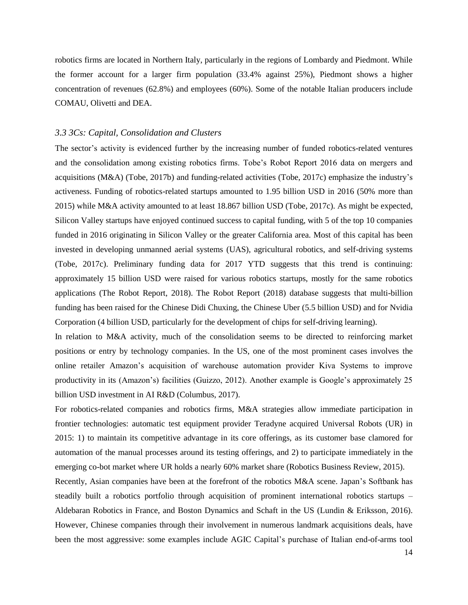robotics firms are located in Northern Italy, particularly in the regions of Lombardy and Piedmont. While the former account for a larger firm population (33.4% against 25%), Piedmont shows a higher concentration of revenues (62.8%) and employees (60%). Some of the notable Italian producers include COMAU, Olivetti and DEA.

#### *3.3 3Cs: Capital, Consolidation and Clusters*

The sector's activity is evidenced further by the increasing number of funded robotics-related ventures and the consolidation among existing robotics firms. Tobe's Robot Report 2016 data on mergers and acquisitions (M&A) (Tobe, 2017b) and funding-related activities (Tobe, 2017c) emphasize the industry's activeness. Funding of robotics-related startups amounted to 1.95 billion USD in 2016 (50% more than 2015) while M&A activity amounted to at least 18.867 billion USD (Tobe, 2017c). As might be expected, Silicon Valley startups have enjoyed continued success to capital funding, with 5 of the top 10 companies funded in 2016 originating in Silicon Valley or the greater California area. Most of this capital has been invested in developing unmanned aerial systems (UAS), agricultural robotics, and self-driving systems (Tobe, 2017c). Preliminary funding data for 2017 YTD suggests that this trend is continuing: approximately 15 billion USD were raised for various robotics startups, mostly for the same robotics applications (The Robot Report, 2018). The Robot Report (2018) database suggests that multi-billion funding has been raised for the Chinese Didi Chuxing, the Chinese Uber (5.5 billion USD) and for Nvidia Corporation (4 billion USD, particularly for the development of chips for self-driving learning).

In relation to M&A activity, much of the consolidation seems to be directed to reinforcing market positions or entry by technology companies. In the US, one of the most prominent cases involves the online retailer Amazon's acquisition of warehouse automation provider Kiva Systems to improve productivity in its (Amazon's) facilities (Guizzo, 2012). Another example is Google's approximately 25 billion USD investment in AI R&D (Columbus, 2017).

For robotics-related companies and robotics firms, M&A strategies allow immediate participation in frontier technologies: automatic test equipment provider Teradyne acquired Universal Robots (UR) in 2015: 1) to maintain its competitive advantage in its core offerings, as its customer base clamored for automation of the manual processes around its testing offerings, and 2) to participate immediately in the emerging co-bot market where UR holds a nearly 60% market share (Robotics Business Review, 2015).

Recently, Asian companies have been at the forefront of the robotics M&A scene. Japan's Softbank has steadily built a robotics portfolio through acquisition of prominent international robotics startups – Aldebaran Robotics in France, and Boston Dynamics and Schaft in the US (Lundin & Eriksson, 2016). However, Chinese companies through their involvement in numerous landmark acquisitions deals, have been the most aggressive: some examples include AGIC Capital's purchase of Italian end-of-arms tool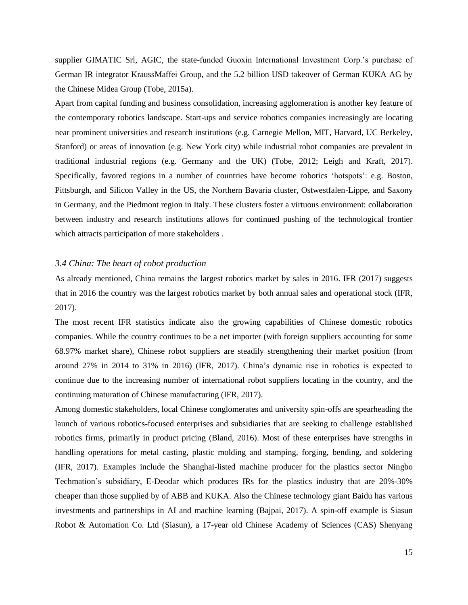supplier GIMATIC Srl, AGIC, the state-funded Guoxin International Investment Corp.'s purchase of German IR integrator KraussMaffei Group, and the 5.2 billion USD takeover of German KUKA AG by the Chinese Midea Group (Tobe, 2015a).

Apart from capital funding and business consolidation, increasing agglomeration is another key feature of the contemporary robotics landscape. Start-ups and service robotics companies increasingly are locating near prominent universities and research institutions (e.g. Carnegie Mellon, MIT, Harvard, UC Berkeley, Stanford) or areas of innovation (e.g. New York city) while industrial robot companies are prevalent in traditional industrial regions (e.g. Germany and the UK) (Tobe, 2012; Leigh and Kraft, 2017). Specifically, favored regions in a number of countries have become robotics 'hotspots': e.g. Boston, Pittsburgh, and Silicon Valley in the US, the Northern Bavaria cluster, Ostwestfalen-Lippe, and Saxony in Germany, and the Piedmont region in Italy. These clusters foster a virtuous environment: collaboration between industry and research institutions allows for continued pushing of the technological frontier which attracts participation of more stakeholders .

#### *3.4 China: The heart of robot production*

As already mentioned, China remains the largest robotics market by sales in 2016. IFR (2017) suggests that in 2016 the country was the largest robotics market by both annual sales and operational stock (IFR, 2017).

The most recent IFR statistics indicate also the growing capabilities of Chinese domestic robotics companies. While the country continues to be a net importer (with foreign suppliers accounting for some 68.97% market share), Chinese robot suppliers are steadily strengthening their market position (from around 27% in 2014 to 31% in 2016) (IFR, 2017). China's dynamic rise in robotics is expected to continue due to the increasing number of international robot suppliers locating in the country, and the continuing maturation of Chinese manufacturing (IFR, 2017).

Among domestic stakeholders, local Chinese conglomerates and university spin-offs are spearheading the launch of various robotics-focused enterprises and subsidiaries that are seeking to challenge established robotics firms, primarily in product pricing (Bland, 2016). Most of these enterprises have strengths in handling operations for metal casting, plastic molding and stamping, forging, bending, and soldering (IFR, 2017). Examples include the Shanghai-listed machine producer for the plastics sector Ningbo Techmation's subsidiary, E-Deodar which produces IRs for the plastics industry that are 20%-30% cheaper than those supplied by of ABB and KUKA. Also the Chinese technology giant Baidu has various investments and partnerships in AI and machine learning (Bajpai, 2017). A spin-off example is Siasun Robot & Automation Co. Ltd (Siasun), a 17-year old Chinese Academy of Sciences (CAS) Shenyang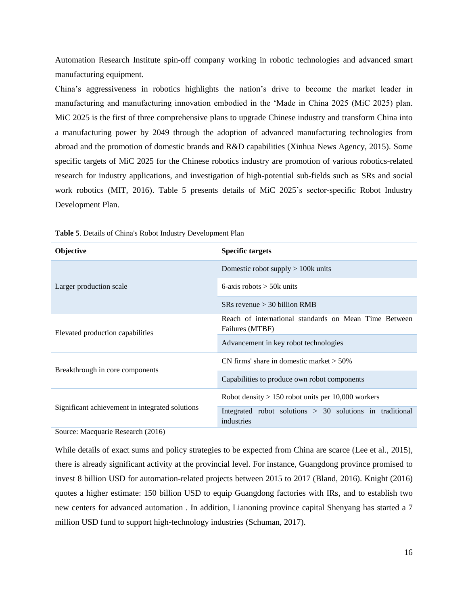Automation Research Institute spin-off company working in robotic technologies and advanced smart manufacturing equipment.

China's aggressiveness in robotics highlights the nation's drive to become the market leader in manufacturing and manufacturing innovation embodied in the 'Made in China 2025 (MiC 2025) plan. MiC 2025 is the first of three comprehensive plans to upgrade Chinese industry and transform China into a manufacturing power by 2049 through the adoption of advanced manufacturing technologies from abroad and the promotion of domestic brands and R&D capabilities (Xinhua News Agency, 2015). Some specific targets of MiC 2025 for the Chinese robotics industry are promotion of various robotics-related research for industry applications, and investigation of high-potential sub-fields such as SRs and social work robotics (MIT, 2016). Table 5 presents details of MiC 2025's sector-specific Robot Industry Development Plan.

| <b>Objective</b>                                | <b>Specific targets</b>                                                  |
|-------------------------------------------------|--------------------------------------------------------------------------|
|                                                 | Domestic robot supply $> 100k$ units                                     |
| Larger production scale                         | 6-axis robots $>$ 50 $k$ units                                           |
|                                                 | $S$ Rs revenue $>$ 30 billion RMB                                        |
| Elevated production capabilities                | Reach of international standards on Mean Time Between<br>Failures (MTBF) |
|                                                 | Advancement in key robot technologies                                    |
| Breakthrough in core components                 | CN firms' share in domestic market $> 50\%$                              |
|                                                 | Capabilities to produce own robot components                             |
|                                                 | Robot density $> 150$ robot units per 10,000 workers                     |
| Significant achievement in integrated solutions | Integrated robot solutions $> 30$ solutions in traditional<br>industries |

**Table 5**. Details of China's Robot Industry Development Plan

Source: Macquarie Research (2016)

While details of exact sums and policy strategies to be expected from China are scarce (Lee et al., 2015), there is already significant activity at the provincial level. For instance, Guangdong province promised to invest 8 billion USD for automation-related projects between 2015 to 2017 (Bland, 2016). Knight (2016) quotes a higher estimate: 150 billion USD to equip Guangdong factories with IRs, and to establish two new centers for advanced automation . In addition, Lianoning province capital Shenyang has started a 7 million USD fund to support high-technology industries (Schuman, 2017).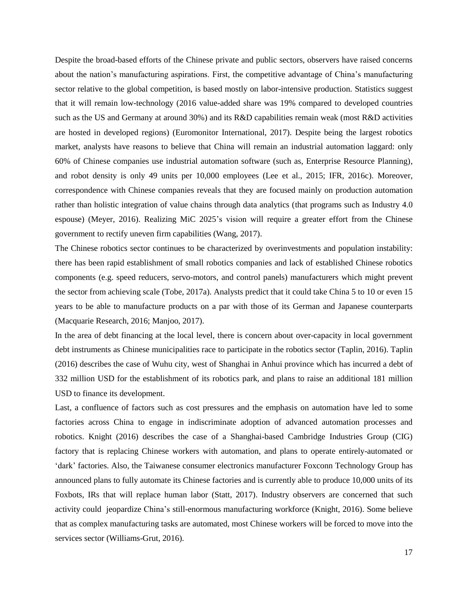Despite the broad-based efforts of the Chinese private and public sectors, observers have raised concerns about the nation's manufacturing aspirations. First, the competitive advantage of China's manufacturing sector relative to the global competition, is based mostly on labor-intensive production. Statistics suggest that it will remain low-technology (2016 value-added share was 19% compared to developed countries such as the US and Germany at around 30%) and its R&D capabilities remain weak (most R&D activities are hosted in developed regions) (Euromonitor International, 2017). Despite being the largest robotics market, analysts have reasons to believe that China will remain an industrial automation laggard: only 60% of Chinese companies use industrial automation software (such as, Enterprise Resource Planning), and robot density is only 49 units per 10,000 employees (Lee et al., 2015; IFR, 2016c). Moreover, correspondence with Chinese companies reveals that they are focused mainly on production automation rather than holistic integration of value chains through data analytics (that programs such as Industry 4.0 espouse) (Meyer, 2016). Realizing MiC 2025's vision will require a greater effort from the Chinese government to rectify uneven firm capabilities (Wang, 2017).

The Chinese robotics sector continues to be characterized by overinvestments and population instability: there has been rapid establishment of small robotics companies and lack of established Chinese robotics components (e.g. speed reducers, servo-motors, and control panels) manufacturers which might prevent the sector from achieving scale (Tobe, 2017a). Analysts predict that it could take China 5 to 10 or even 15 years to be able to manufacture products on a par with those of its German and Japanese counterparts (Macquarie Research, 2016; Manjoo, 2017).

In the area of debt financing at the local level, there is concern about over-capacity in local government debt instruments as Chinese municipalities race to participate in the robotics sector (Taplin, 2016). Taplin (2016) describes the case of Wuhu city, west of Shanghai in Anhui province which has incurred a debt of 332 million USD for the establishment of its robotics park, and plans to raise an additional 181 million USD to finance its development.

Last, a confluence of factors such as cost pressures and the emphasis on automation have led to some factories across China to engage in indiscriminate adoption of advanced automation processes and robotics. Knight (2016) describes the case of a Shanghai-based Cambridge Industries Group (CIG) factory that is replacing Chinese workers with automation, and plans to operate entirely-automated or 'dark' factories. Also, the Taiwanese consumer electronics manufacturer Foxconn Technology Group has announced plans to fully automate its Chinese factories and is currently able to produce 10,000 units of its Foxbots, IRs that will replace human labor (Statt, 2017). Industry observers are concerned that such activity could jeopardize China's still-enormous manufacturing workforce (Knight, 2016). Some believe that as complex manufacturing tasks are automated, most Chinese workers will be forced to move into the services sector (Williams-Grut, 2016).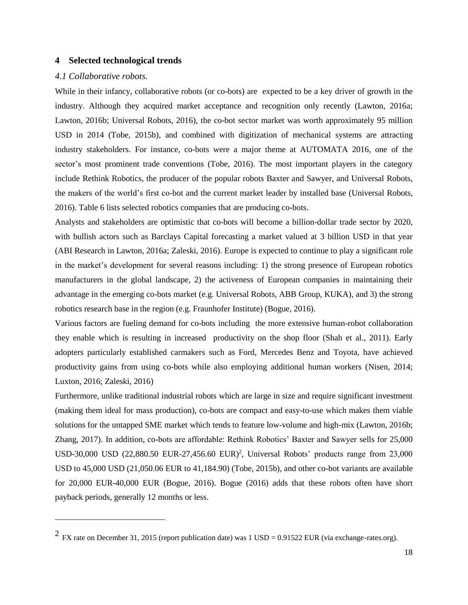## **4 Selected technological trends**

# *4.1 Collaborative robots.*

 $\overline{a}$ 

While in their infancy, collaborative robots (or co-bots) are expected to be a key driver of growth in the industry. Although they acquired market acceptance and recognition only recently (Lawton, 2016a; Lawton, 2016b; Universal Robots, 2016), the co-bot sector market was worth approximately 95 million USD in 2014 (Tobe, 2015b), and combined with digitization of mechanical systems are attracting industry stakeholders. For instance, co-bots were a major theme at AUTOMATA 2016, one of the sector's most prominent trade conventions (Tobe, 2016). The most important players in the category include Rethink Robotics, the producer of the popular robots Baxter and Sawyer, and Universal Robots, the makers of the world's first co-bot and the current market leader by installed base (Universal Robots, 2016). Table 6 lists selected robotics companies that are producing co-bots.

Analysts and stakeholders are optimistic that co-bots will become a billion-dollar trade sector by 2020, with bullish actors such as Barclays Capital forecasting a market valued at 3 billion USD in that year (ABI Research in Lawton, 2016a; Zaleski, 2016). Europe is expected to continue to play a significant role in the market's development for several reasons including: 1) the strong presence of European robotics manufacturers in the global landscape, 2) the activeness of European companies in maintaining their advantage in the emerging co-bots market (e.g. Universal Robots, ABB Group, KUKA), and 3) the strong robotics research base in the region (e.g. Fraunhofer Institute) (Bogue, 2016).

Various factors are fueling demand for co-bots including the more extensive human-robot collaboration they enable which is resulting in increased productivity on the shop floor (Shah et al., 2011). Early adopters particularly established carmakers such as Ford, Mercedes Benz and Toyota, have achieved productivity gains from using co-bots while also employing additional human workers (Nisen, 2014; Luxton, 2016; Zaleski, 2016)

Furthermore, unlike traditional industrial robots which are large in size and require significant investment (making them ideal for mass production), co-bots are compact and easy-to-use which makes them viable solutions for the untapped SME market which tends to feature low-volume and high-mix (Lawton, 2016b; Zhang, 2017). In addition, co-bots are affordable: Rethink Robotics' Baxter and Sawyer sells for 25,000 USD-30,000 USD (22,880.50 EUR-27,456.60 EUR)<sup>2</sup>, Universal Robots' products range from 23,000 USD to 45,000 USD (21,050.06 EUR to 41,184.90) (Tobe, 2015b), and other co-bot variants are available for 20,000 EUR-40,000 EUR (Bogue, 2016). Bogue (2016) adds that these robots often have short payback periods, generally 12 months or less.

<sup>&</sup>lt;sup>2</sup> FX rate on December 31, 2015 (report publication date) was 1 USD = 0.91522 EUR (via exchange-rates.org).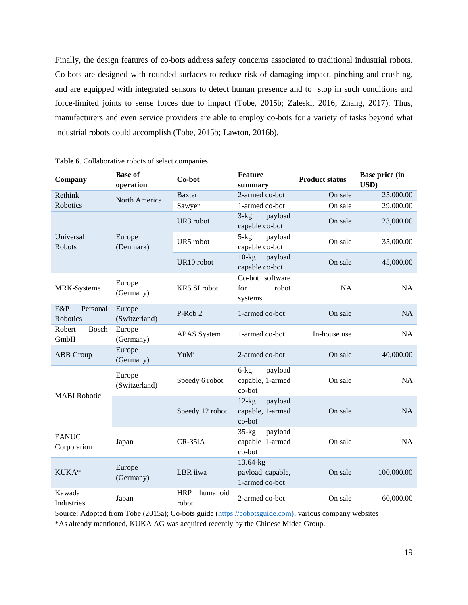Finally, the design features of co-bots address safety concerns associated to traditional industrial robots. Co-bots are designed with rounded surfaces to reduce risk of damaging impact, pinching and crushing, and are equipped with integrated sensors to detect human presence and to stop in such conditions and force-limited joints to sense forces due to impact (Tobe, 2015b; Zaleski, 2016; Zhang, 2017). Thus, manufacturers and even service providers are able to employ co-bots for a variety of tasks beyond what industrial robots could accomplish (Tobe, 2015b; Lawton, 2016b).

| Company                     | <b>Base of</b><br>operation | Co-bot                          | <b>Feature</b><br>summary                         | <b>Product status</b> | <b>Base price (in</b><br>USD) |
|-----------------------------|-----------------------------|---------------------------------|---------------------------------------------------|-----------------------|-------------------------------|
| Rethink                     | North America               | Baxter                          | 2-armed co-bot                                    | On sale               | 25,000.00                     |
| Robotics                    |                             | Sawyer                          | 1-armed co-bot                                    | On sale               | 29,000.00                     |
|                             |                             | UR3 robot                       | $3-kg$<br>payload<br>capable co-bot               | On sale               | 23,000.00                     |
| Universal<br>Robots         | Europe<br>(Denmark)         | UR5 robot                       | $5 - kg$<br>payload<br>capable co-bot             | On sale               | 35,000.00                     |
|                             |                             | UR10 robot                      | $10$ - $kg$<br>payload<br>capable co-bot          | On sale               | 45,000.00                     |
| MRK-Systeme                 | Europe<br>(Germany)         | KR5 SI robot                    | Co-bot software<br>for<br>robot<br>systems        | NA                    | <b>NA</b>                     |
| F&P<br>Personal<br>Robotics | Europe<br>(Switzerland)     | P-Rob 2                         | 1-armed co-bot                                    | On sale               | NA                            |
| Robert<br>Bosch<br>GmbH     | Europe<br>(Germany)         | <b>APAS</b> System              | 1-armed co-bot                                    | In-house use          | <b>NA</b>                     |
| ABB Group                   | Europe<br>(Germany)         | YuMi                            | 2-armed co-bot                                    | On sale               | 40,000.00                     |
| <b>MABI</b> Robotic         | Europe<br>(Switzerland)     | Speedy 6 robot                  | $6$ -kg<br>payload<br>capable, 1-armed<br>co-bot  | On sale               | NA                            |
|                             |                             | Speedy 12 robot                 | $12$ -kg<br>payload<br>capable, 1-armed<br>co-bot | On sale               | <b>NA</b>                     |
| <b>FANUC</b><br>Corporation | Japan                       | $CR-35iA$                       | $35-kg$<br>payload<br>capable 1-armed<br>co-bot   | On sale               | <b>NA</b>                     |
| KUKA*                       | Europe<br>(Germany)         | LBR iiwa                        | 13.64-kg<br>payload capable,<br>1-armed co-bot    | On sale               | 100,000.00                    |
| Kawada<br>Industries        | Japan                       | <b>HRP</b><br>humanoid<br>robot | 2-armed co-bot                                    | On sale               | 60,000.00                     |

|  | Table 6. Collaborative robots of select companies |  |  |  |
|--|---------------------------------------------------|--|--|--|
|--|---------------------------------------------------|--|--|--|

Source: Adopted from Tobe [\(2015a](https://spectrum.ieee.org/automaton/robotics/industrial-robots/collaborative-robots-innovation-growth-driver)); Co-bots guide [\(https://cobotsguide.com\);](https://cobotsguide.com)/) various company websites

\*As already mentioned, KUKA AG was acquired recently by the Chinese Midea Group.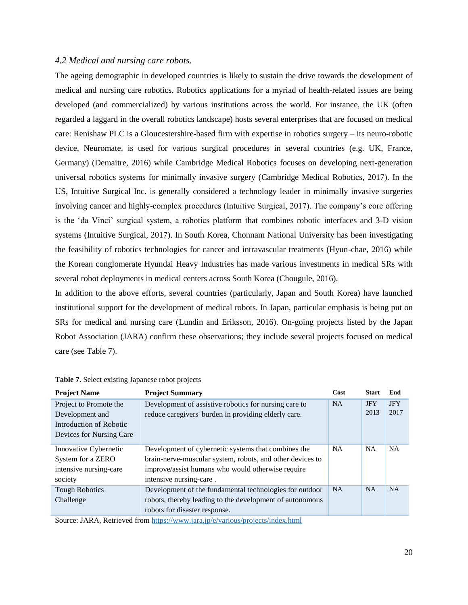#### *4.2 Medical and nursing care robots.*

The ageing demographic in developed countries is likely to sustain the drive towards the development of medical and nursing care robotics. Robotics applications for a myriad of health-related issues are being developed (and commercialized) by various institutions across the world. For instance, the UK (often regarded a laggard in the overall robotics landscape) hosts several enterprises that are focused on medical care: Renishaw PLC is a Gloucestershire-based firm with expertise in robotics surgery – its neuro-robotic device, Neuromate, is used for various surgical procedures in several countries (e.g. UK, France, Germany) (Demaitre, 2016) while Cambridge Medical Robotics focuses on developing next-generation universal robotics systems for minimally invasive surgery [\(Cambridge Medical Robotics, 2017\)](http://cmedrobotics.com/about/). In the US, Intuitive Surgical Inc. is generally considered a technology leader in minimally invasive surgeries involving cancer and highly-complex procedures (Intuitive Surgical, 2017). The company's core offering is the 'da Vinci' surgical system, a robotics platform that combines robotic interfaces and 3-D vision systems (Intuitive Surgical, 2017). In South Korea, Chonnam National University has been investigating the feasibility of robotics technologies for cancer and intravascular treatments (Hyun-chae, 2016) while the Korean conglomerate Hyundai Heavy Industries has made various investments in medical SRs with several robot deployments in medical centers across South Korea (Chougule, 2016).

In addition to the above efforts, several countries (particularly, Japan and South Korea) have launched institutional support for the development of medical robots. In Japan, particular emphasis is being put on SRs for medical and nursing care (Lundin and Eriksson, 2016). On-going projects listed by the Japan Robot Association (JARA) confirm these observations; they include several projects focused on medical care (see Table 7).

| <b>Project Name</b>      | <b>Project Summary</b>                                    | Cost      | <b>Start</b> | End        |
|--------------------------|-----------------------------------------------------------|-----------|--------------|------------|
| Project to Promote the   | Development of assistive robotics for nursing care to     | <b>NA</b> | <b>JFY</b>   | <b>JFY</b> |
| Development and          | reduce caregivers' burden in providing elderly care.      |           | 2013         | 2017       |
| Introduction of Robotic  |                                                           |           |              |            |
| Devices for Nursing Care |                                                           |           |              |            |
| Innovative Cybernetic    | Development of cybernetic systems that combines the       | <b>NA</b> | <b>NA</b>    | <b>NA</b>  |
| System for a ZERO        | brain-nerve-muscular system, robots, and other devices to |           |              |            |
| intensive nursing-care   | improve/assist humans who would otherwise require         |           |              |            |
| society                  | intensive nursing-care.                                   |           |              |            |
| <b>Tough Robotics</b>    | Development of the fundamental technologies for outdoor   | <b>NA</b> | <b>NA</b>    | <b>NA</b>  |
| Challenge                | robots, thereby leading to the development of autonomous  |           |              |            |
|                          | robots for disaster response.                             |           |              |            |

**Table 7**. Select existing Japanese robot projects

Source: JARA, Retrieved from<https://www.jara.jp/e/various/projects/index.html>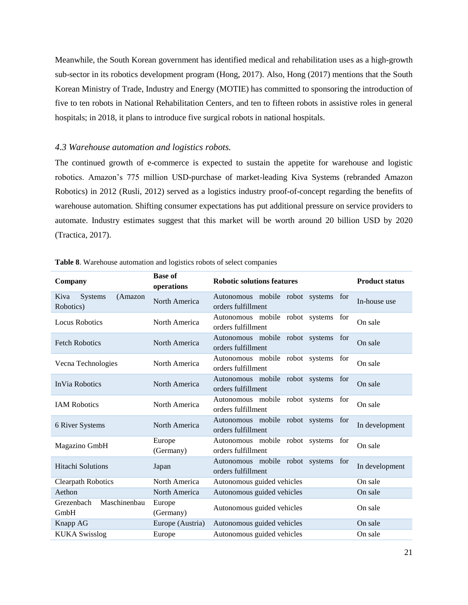Meanwhile, the South Korean government has identified medical and rehabilitation uses as a high-growth sub-sector in its robotics development program (Hong, 2017). Also, Hong (2017) mentions that the South Korean Ministry of Trade, Industry and Energy (MOTIE) has committed to sponsoring the introduction of five to ten robots in National Rehabilitation Centers, and ten to fifteen robots in assistive roles in general hospitals; in 2018, it plans to introduce five surgical robots in national hospitals.

### *4.3 Warehouse automation and logistics robots.*

The continued growth of e-commerce is expected to sustain the appetite for warehouse and logistic robotics. Amazon's 775 million USD-purchase of market-leading Kiva Systems (rebranded Amazon Robotics) in 2012 (Rusli, 2012) served as a logistics industry proof-of-concept regarding the benefits of warehouse automation. Shifting consumer expectations has put additional pressure on service providers to automate. Industry estimates suggest that this market will be worth around 20 billion USD by 2020 (Tractica, 2017).

| Company                                 | <b>Base of</b><br>operations | <b>Robotic solutions features</b>                            | <b>Product status</b> |
|-----------------------------------------|------------------------------|--------------------------------------------------------------|-----------------------|
| Kiva<br>Systems<br>(Amazon<br>Robotics) | North America                | Autonomous mobile robot systems for<br>orders fulfillment    | In-house use          |
| <b>Locus Robotics</b>                   | North America                | Autonomous mobile robot systems<br>for<br>orders fulfillment | On sale               |
| <b>Fetch Robotics</b>                   | North America                | Autonomous mobile robot systems<br>for<br>orders fulfillment | On sale               |
| Vecna Technologies                      | North America                | Autonomous mobile robot systems<br>for<br>orders fulfillment | On sale               |
| <b>InVia Robotics</b>                   | North America                | Autonomous mobile robot systems for<br>orders fulfillment    | On sale               |
| <b>IAM Robotics</b>                     | North America                | Autonomous mobile robot systems for<br>orders fulfillment    | On sale               |
| 6 River Systems                         | North America                | Autonomous mobile robot systems<br>for<br>orders fulfillment | In development        |
| Magazino GmbH                           | Europe<br>(Germany)          | Autonomous mobile robot systems<br>for<br>orders fulfillment | On sale               |
| <b>Hitachi Solutions</b>                | Japan                        | Autonomous mobile robot systems<br>for<br>orders fulfillment | In development        |
| <b>Clearpath Robotics</b>               | North America                | Autonomous guided vehicles                                   | On sale               |
| Aethon                                  | North America                | Autonomous guided vehicles                                   | On sale               |
| Maschinenbau<br>Grezenbach<br>GmbH      | Europe<br>(Germany)          | Autonomous guided vehicles                                   | On sale               |
| Knapp AG                                | Europe (Austria)             | Autonomous guided vehicles                                   | On sale               |
| <b>KUKA Swisslog</b>                    | Europe                       | Autonomous guided vehicles                                   | On sale               |

**Table 8**. Warehouse automation and logistics robots of select companies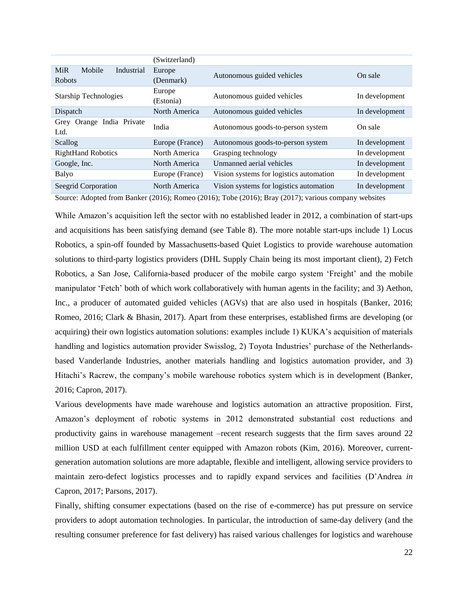|                                                     | (Switzerland)       |                                         |                |
|-----------------------------------------------------|---------------------|-----------------------------------------|----------------|
| <b>MiR</b><br>Mobile<br>Industrial<br><b>Robots</b> | Europe<br>(Denmark) | Autonomous guided vehicles              | On sale        |
| <b>Starship Technologies</b>                        | Europe<br>(Estonia) | Autonomous guided vehicles              | In development |
| Dispatch                                            | North America       | Autonomous guided vehicles              | In development |
| Grey Orange India Private<br>Ltd.                   | India               | Autonomous goods-to-person system       | On sale        |
| Scallog                                             | Europe (France)     | Autonomous goods-to-person system       | In development |
| <b>RightHand Robotics</b>                           | North America       | Grasping technology                     | In development |
| Google, Inc.                                        | North America       | Unmanned aerial vehicles                | In development |
| Balyo                                               | Europe (France)     | Vision systems for logistics automation | In development |
| Seegrid Corporation                                 | North America       | Vision systems for logistics automation | In development |
| $\alpha$ $\cdots$ $\cdots$ $\cdots$                 | (0.01)              | $(0.01.6)$ FD 1 $(0.01.6)$ D $(0.01.7)$ | $\sim$ $\sim$  |

Source: Adopted from Banker (2016); Romeo (2016); Tobe (2016); Bray (2017); various company websites

While Amazon's acquisition left the sector with no established leader in 2012, a combination of start-ups and acquisitions has been satisfying demand (see Table 8). The more notable start-ups include 1) Locus Robotics, a spin-off founded by Massachusetts-based Quiet Logistics to provide warehouse automation solutions to third-party logistics providers (DHL Supply Chain being its most important client), 2) Fetch Robotics, a San Jose, California-based producer of the mobile cargo system 'Freight' and the mobile manipulator 'Fetch' both of which work collaboratively with human agents in the facility; and 3) Aethon, Inc., a producer of automated guided vehicles (AGVs) that are also used in hospitals (Banker, 2016; Romeo, 2016; Clark & Bhasin, 2017). Apart from these enterprises, established firms are developing (or acquiring) their own logistics automation solutions: examples include 1) KUKA's acquisition of materials handling and logistics automation provider Swisslog, 2) Toyota Industries' purchase of the Netherlandsbased Vanderlande Industries, another materials handling and logistics automation provider, and 3) Hitachi's Racrew, the company's mobile warehouse robotics system which is in development (Banker, 2016; Capron, 2017).

Various developments have made warehouse and logistics automation an attractive proposition. First, Amazon's deployment of robotic systems in 2012 demonstrated substantial cost reductions and productivity gains in warehouse management –recent research suggests that the firm saves around 22 million USD at each fulfillment center equipped with Amazon robots (Kim, 2016). Moreover, currentgeneration automation solutions are more adaptable, flexible and intelligent, allowing service providers to maintain zero-defect logistics processes and to rapidly expand services and facilities (D'Andrea *in* Capron, 2017; Parsons, 2017).

Finally, shifting consumer expectations (based on the rise of e-commerce) has put pressure on service providers to adopt automation technologies. In particular, the introduction of same-day delivery (and the resulting consumer preference for fast delivery) has raised various challenges for logistics and warehouse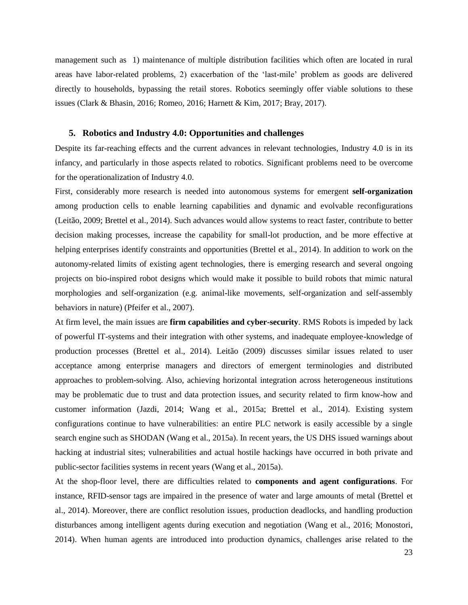management such as 1) maintenance of multiple distribution facilities which often are located in rural areas have labor-related problems, 2) exacerbation of the 'last-mile' problem as goods are delivered directly to households, bypassing the retail stores. Robotics seemingly offer viable solutions to these issues (Clark & Bhasin, 2016; Romeo, 2016; Harnett & Kim, 2017; Bray, 2017).

#### **5. Robotics and Industry 4.0: Opportunities and challenges**

Despite its far-reaching effects and the current advances in relevant technologies, Industry 4.0 is in its infancy, and particularly in those aspects related to robotics. Significant problems need to be overcome for the operationalization of Industry 4.0.

First, considerably more research is needed into autonomous systems for emergent **self-organization** among production cells to enable learning capabilities and dynamic and evolvable reconfigurations (Leitão, 2009; Brettel et al., 2014). Such advances would allow systems to react faster, contribute to better decision making processes, increase the capability for small-lot production, and be more effective at helping enterprises identify constraints and opportunities (Brettel et al., 2014). In addition to work on the autonomy-related limits of existing agent technologies, there is emerging research and several ongoing projects on bio-inspired robot designs which would make it possible to build robots that mimic natural morphologies and self-organization (e.g. animal-like movements, self-organization and self-assembly behaviors in nature) (Pfeifer et al., 2007).

At firm level, the main issues are **firm capabilities and cyber-security**. RMS Robots is impeded by lack of powerful IT-systems and their integration with other systems, and inadequate employee-knowledge of production processes (Brettel et al., 2014). Leitão (2009) discusses similar issues related to user acceptance among enterprise managers and directors of emergent terminologies and distributed approaches to problem-solving. Also, achieving horizontal integration across heterogeneous institutions may be problematic due to trust and data protection issues, and security related to firm know-how and customer information (Jazdi, 2014; Wang et al., 2015a; Brettel et al., 2014). Existing system configurations continue to have vulnerabilities: an entire PLC network is easily accessible by a single search engine such as SHODAN (Wang et al., 2015a). In recent years, the US DHS issued warnings about hacking at industrial sites; vulnerabilities and actual hostile hackings have occurred in both private and public-sector facilities systems in recent years (Wang et al., 2015a).

At the shop-floor level, there are difficulties related to **components and agent configurations**. For instance, RFID-sensor tags are impaired in the presence of water and large amounts of metal (Brettel et al., 2014). Moreover, there are conflict resolution issues, production deadlocks, and handling production disturbances among intelligent agents during execution and negotiation (Wang et al., 2016; Monostori, 2014). When human agents are introduced into production dynamics, challenges arise related to the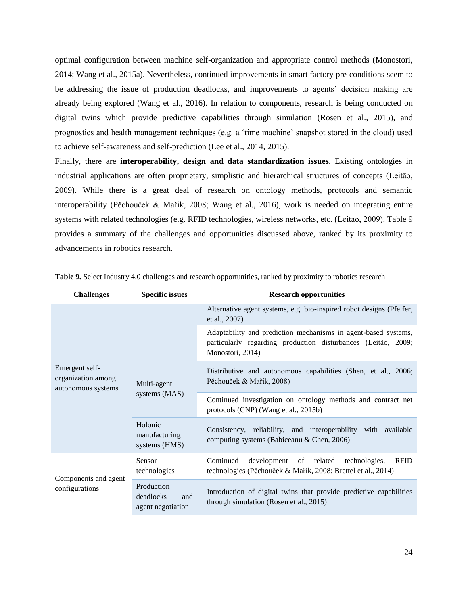optimal configuration between machine self-organization and appropriate control methods (Monostori, 2014; Wang et al., 2015a). Nevertheless, continued improvements in smart factory pre-conditions seem to be addressing the issue of production deadlocks, and improvements to agents' decision making are already being explored (Wang et al., 2016). In relation to components, research is being conducted on digital twins which provide predictive capabilities through simulation (Rosen et al., 2015), and prognostics and health management techniques (e.g. a 'time machine' snapshot stored in the cloud) used to achieve self-awareness and self-prediction (Lee et al., 2014, 2015).

Finally, there are **interoperability, design and data standardization issues**. Existing ontologies in industrial applications are often proprietary, simplistic and hierarchical structures of concepts (Leitāo, 2009). While there is a great deal of research on ontology methods, protocols and semantic interoperability (Pĕchouček & Mařík, 2008; Wang et al., 2016), work is needed on integrating entire systems with related technologies (e.g. RFID technologies, wireless networks, etc. (Leitāo, 2009). Table 9 provides a summary of the challenges and opportunities discussed above, ranked by its proximity to advancements in robotics research.

| <b>Challenges</b>                                          | <b>Specific issues</b>                              | <b>Research opportunities</b>                                                                                                                       |
|------------------------------------------------------------|-----------------------------------------------------|-----------------------------------------------------------------------------------------------------------------------------------------------------|
|                                                            |                                                     | Alternative agent systems, e.g. bio-inspired robot designs (Pfeifer,<br>et al., 2007)                                                               |
|                                                            |                                                     | Adaptability and prediction mechanisms in agent-based systems,<br>particularly regarding production disturbances (Leitão, 2009;<br>Monostori, 2014) |
| Emergent self-<br>organization among<br>autonomous systems | Multi-agent<br>systems (MAS)                        | Distributive and autonomous capabilities (Shen, et al., 2006;<br>Pěchouček & Mařík, 2008)                                                           |
|                                                            |                                                     | Continued investigation on ontology methods and contract net<br>protocols (CNP) (Wang et al., 2015b)                                                |
|                                                            | Holonic<br>manufacturing<br>systems (HMS)           | Consistency, reliability, and interoperability with available<br>computing systems (Babiceanu & Chen, 2006)                                         |
| Components and agent<br>configurations                     | Sensor<br>technologies                              | development of related<br><b>RFID</b><br>Continued<br>technologies,<br>technologies (Pěchouček & Mařík, 2008; Brettel et al., 2014)                 |
|                                                            | Production<br>deadlocks<br>and<br>agent negotiation | Introduction of digital twins that provide predictive capabilities<br>through simulation (Rosen et al., 2015)                                       |

**Table 9.** Select Industry 4.0 challenges and research opportunities, ranked by proximity to robotics research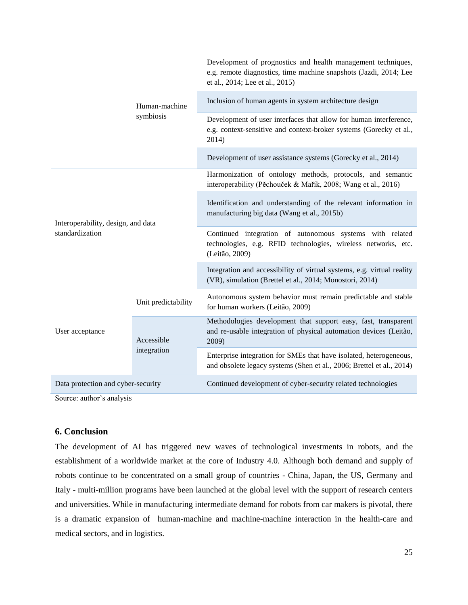| Human-machine<br>symbiosis                            |                           | Development of prognostics and health management techniques,<br>e.g. remote diagnostics, time machine snapshots (Jazdi, 2014; Lee<br>et al., 2014; Lee et al., 2015) |
|-------------------------------------------------------|---------------------------|----------------------------------------------------------------------------------------------------------------------------------------------------------------------|
|                                                       |                           | Inclusion of human agents in system architecture design                                                                                                              |
|                                                       |                           | Development of user interfaces that allow for human interference,<br>e.g. context-sensitive and context-broker systems (Gorecky et al.,<br>2014)                     |
|                                                       |                           | Development of user assistance systems (Gorecky et al., 2014)                                                                                                        |
| Interoperability, design, and data<br>standardization |                           | Harmonization of ontology methods, protocols, and semantic<br>interoperability (Pěchouček & Mařík, 2008; Wang et al., 2016)                                          |
|                                                       |                           | Identification and understanding of the relevant information in<br>manufacturing big data (Wang et al., 2015b)                                                       |
|                                                       |                           | Continued integration of autonomous systems with related<br>technologies, e.g. RFID technologies, wireless networks, etc.<br>(Leitão, 2009)                          |
|                                                       |                           | Integration and accessibility of virtual systems, e.g. virtual reality<br>(VR), simulation (Brettel et al., 2014; Monostori, 2014)                                   |
| User acceptance                                       | Unit predictability       | Autonomous system behavior must remain predictable and stable<br>for human workers (Leitão, 2009)                                                                    |
|                                                       | Accessible<br>integration | Methodologies development that support easy, fast, transparent<br>and re-usable integration of physical automation devices (Leitão,<br>2009)                         |
|                                                       |                           | Enterprise integration for SMEs that have isolated, heterogeneous,<br>and obsolete legacy systems (Shen et al., 2006; Brettel et al., 2014)                          |
| Data protection and cyber-security                    |                           | Continued development of cyber-security related technologies                                                                                                         |

Source: author's analysis

# **6. Conclusion**

The development of AI has triggered new waves of technological investments in robots, and the establishment of a worldwide market at the core of Industry 4.0. Although both demand and supply of robots continue to be concentrated on a small group of countries - China, Japan, the US, Germany and Italy - multi-million programs have been launched at the global level with the support of research centers and universities. While in manufacturing intermediate demand for robots from car makers is pivotal, there is a dramatic expansion of human-machine and machine-machine interaction in the health-care and medical sectors, and in logistics.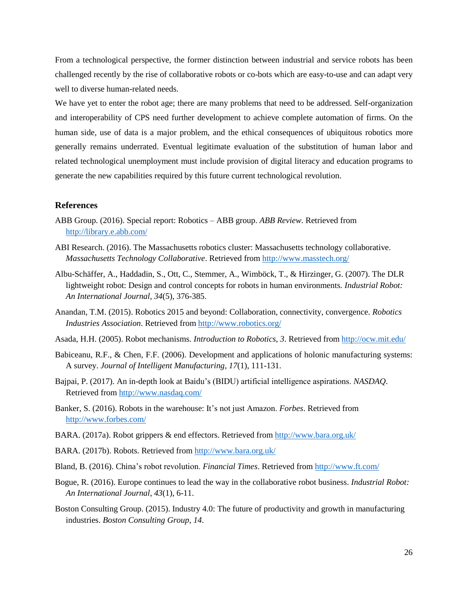From a technological perspective, the former distinction between industrial and service robots has been challenged recently by the rise of collaborative robots or co-bots which are easy-to-use and can adapt very well to diverse human-related needs.

We have yet to enter the robot age; there are many problems that need to be addressed. Self-organization and interoperability of CPS need further development to achieve complete automation of firms. On the human side, use of data is a major problem, and the ethical consequences of ubiquitous robotics more generally remains underrated. Eventual legitimate evaluation of the substitution of human labor and related technological unemployment must include provision of digital literacy and education programs to generate the new capabilities required by this future current technological revolution.

# **References**

- ABB Group. (2016). Special report: Robotics ABB group. *ABB Review*. Retrieved from <http://library.e.abb.com/>
- ABI Research. (2016). The Massachusetts robotics cluster: Massachusetts technology collaborative. *Massachusetts Technology Collaborative*. Retrieved from<http://www.masstech.org/>
- Albu-Schäffer, A., Haddadin, S., Ott, C., Stemmer, A., Wimböck, T., & Hirzinger, G. (2007). The DLR lightweight robot: Design and control concepts for robots in human environments. *Industrial Robot: An International Journal*, *34*(5), 376-385.
- Anandan, T.M. (2015). Robotics 2015 and beyond: Collaboration, connectivity, convergence. *Robotics Industries Association*. Retrieved from<http://www.robotics.org/>
- Asada, H.H. (2005). Robot mechanisms. *Introduction to Robotics*, *3*. Retrieved from<http://ocw.mit.edu/>
- Babiceanu, R.F., & Chen, F.F. (2006). Development and applications of holonic manufacturing systems: A survey. *Journal of Intelligent Manufacturing*, *17*(1), 111-131.
- Bajpai, P. (2017). An in-depth look at Baidu's (BIDU) artificial intelligence aspirations. *NASDAQ*. Retrieved from<http://www.nasdaq.com/>
- Banker, S. (2016). Robots in the warehouse: It's not just Amazon. *Forbes*. Retrieved from <http://www.forbes.com/>
- BARA. (2017a). Robot grippers & end effectors. Retrieved from<http://www.bara.org.uk/>
- BARA. (2017b). Robots. Retrieved fro[m http://www.bara.org.uk/](http://www.bara.org.uk/)
- Bland, B. (2016). China's robot revolution. *Financial Times*. Retrieved from<http://www.ft.com/>
- Bogue, R. (2016). Europe continues to lead the way in the collaborative robot business. *Industrial Robot: An International Journal*, *43*(1), 6-11.
- Boston Consulting Group. (2015). Industry 4.0: The future of productivity and growth in manufacturing industries. *Boston Consulting Group*, *14*.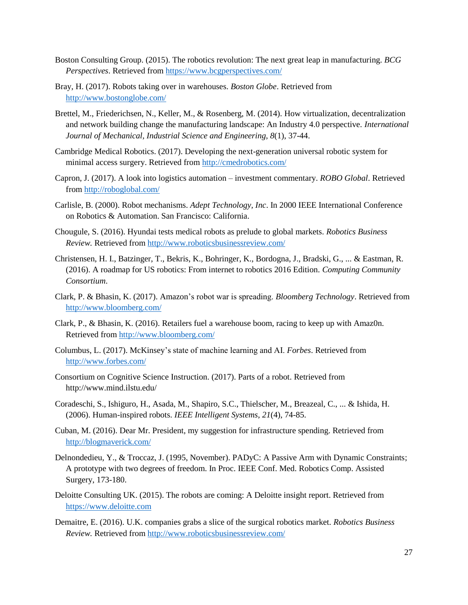- Boston Consulting Group. (2015). The robotics revolution: The next great leap in manufacturing. *BCG Perspectives*. Retrieved from<https://www.bcgperspectives.com/>
- Bray, H. (2017). Robots taking over in warehouses. *Boston Globe*. Retrieved from <http://www.bostonglobe.com/>
- Brettel, M., Friederichsen, N., Keller, M., & Rosenberg, M. (2014). How virtualization, decentralization and network building change the manufacturing landscape: An Industry 4.0 perspective. *International Journal of Mechanical, Industrial Science and Engineering*, *8*(1), 37-44.
- Cambridge Medical Robotics. (2017). Developing the next-generation universal robotic system for minimal access surgery. Retrieved from<http://cmedrobotics.com/>
- Capron, J. (2017). A look into logistics automation investment commentary. *ROBO Global*. Retrieved from<http://roboglobal.com/>
- Carlisle, B. (2000). Robot mechanisms. *Adept Technology, Inc*. In 2000 IEEE International Conference on Robotics & Automation. San Francisco: California.
- Chougule, S. (2016). Hyundai tests medical robots as prelude to global markets. *Robotics Business Review.* Retrieved from<http://www.roboticsbusinessreview.com/>
- Christensen, H. I., Batzinger, T., Bekris, K., Bohringer, K., Bordogna, J., Bradski, G., ... & Eastman, R. (2016). A roadmap for US robotics: From internet to robotics 2016 Edition. *Computing Community Consortium*.
- Clark, P. & Bhasin, K. (2017). Amazon's robot war is spreading. *Bloomberg Technology*. Retrieved from <http://www.bloomberg.com/>
- Clark, P., & Bhasin, K. (2016). Retailers fuel a warehouse boom, racing to keep up with Amaz0n. Retrieved from<http://www.bloomberg.com/>
- Columbus, L. (2017). McKinsey's state of machine learning and AI. *Forbes*. Retrieved from <http://www.forbes.com/>
- Consortium on Cognitive Science Instruction. (2017). Parts of a robot. Retrieved from http://www.mind.ilstu.edu/
- Coradeschi, S., Ishiguro, H., Asada, M., Shapiro, S.C., Thielscher, M., Breazeal, C., ... & Ishida, H. (2006). Human-inspired robots. *IEEE Intelligent Systems*, *21*(4), 74-85.
- Cuban, M. (2016). Dear Mr. President, my suggestion for infrastructure spending. Retrieved from <http://blogmaverick.com/>
- Delnondedieu, Y., & Troccaz, J. (1995, November). PADyC: A Passive Arm with Dynamic Constraints; A prototype with two degrees of freedom. In Proc. IEEE Conf. Med. Robotics Comp. Assisted Surgery, 173-180.
- Deloitte Consulting UK. (2015). The robots are coming: A Deloitte insight report. Retrieved from [https://www.deloitte.com](https://www.deloitte.com/)
- Demaitre, E. (2016). U.K. companies grabs a slice of the surgical robotics market. *Robotics Business Review.* Retrieved from<http://www.roboticsbusinessreview.com/>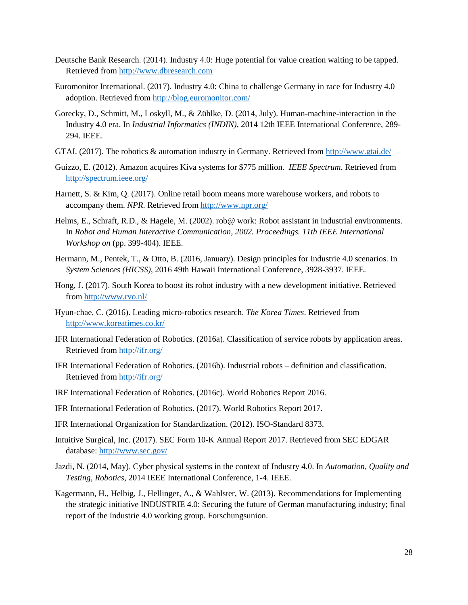- Deutsche Bank Research. (2014). Industry 4.0: Huge potential for value creation waiting to be tapped. Retrieved from [http://www.dbresearch.com](http://www.dbresearch.com/)
- Euromonitor International. (2017). Industry 4.0: China to challenge Germany in race for Industry 4.0 adoption. Retrieved from<http://blog.euromonitor.com/>
- Gorecky, D., Schmitt, M., Loskyll, M., & Zühlke, D. (2014, July). Human-machine-interaction in the Industry 4.0 era. In *Industrial Informatics (INDIN)*, 2014 12th IEEE International Conference, 289- 294. IEEE.
- GTAI. (2017). The robotics & automation industry in Germany. Retrieved from<http://www.gtai.de/>
- Guizzo, E. (2012). Amazon acquires Kiva systems for \$775 million. *IEEE Spectrum*. Retrieved from <http://spectrum.ieee.org/>
- Harnett, S. & Kim, Q. (2017). Online retail boom means more warehouse workers, and robots to accompany them. *NPR*. Retrieved from<http://www.npr.org/>
- Helms, E., Schraft, R.D., & Hagele, M. (2002). rob@ work: Robot assistant in industrial environments. In *Robot and Human Interactive Communication, 2002. Proceedings. 11th IEEE International Workshop on* (pp. 399-404). IEEE.
- Hermann, M., Pentek, T., & Otto, B. (2016, January). Design principles for Industrie 4.0 scenarios. In *System Sciences (HICSS)*, 2016 49th Hawaii International Conference, 3928-3937. IEEE.
- Hong, J. (2017). South Korea to boost its robot industry with a new development initiative. Retrieved from<http://www.rvo.nl/>
- Hyun-chae, C. (2016). Leading micro-robotics research. *The Korea Times*. Retrieved from <http://www.koreatimes.co.kr/>
- IFR International Federation of Robotics. (2016a). Classification of service robots by application areas. Retrieved from<http://ifr.org/>
- IFR International Federation of Robotics. (2016b). Industrial robots definition and classification. Retrieved from<http://ifr.org/>
- IRF International Federation of Robotics. (2016c). World Robotics Report 2016.
- IFR International Federation of Robotics. (2017). World Robotics Report 2017.
- IFR International Organization for Standardization. (2012). ISO-Standard 8373.
- Intuitive Surgical, Inc. (2017). SEC Form 10-K Annual Report 2017. Retrieved from SEC EDGAR database:<http://www.sec.gov/>
- Jazdi, N. (2014, May). Cyber physical systems in the context of Industry 4.0. In *Automation, Quality and Testing, Robotics*, 2014 IEEE International Conference, 1-4. IEEE.
- Kagermann, H., Helbig, J., Hellinger, A., & Wahlster, W. (2013). Recommendations for Implementing the strategic initiative INDUSTRIE 4.0: Securing the future of German manufacturing industry; final report of the Industrie 4.0 working group. Forschungsunion.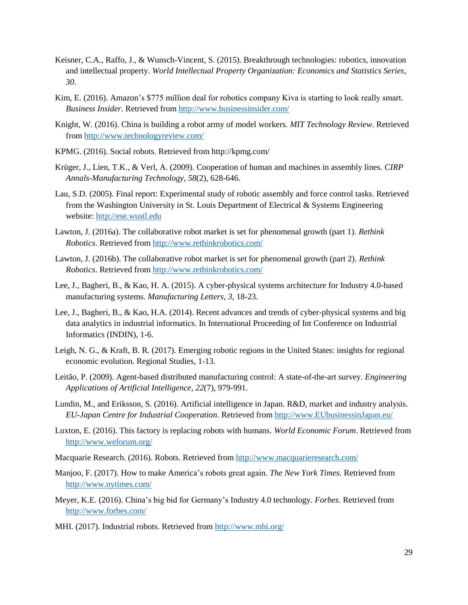- Keisner, C.A., Raffo, J., & Wunsch-Vincent, S. (2015). Breakthrough technologies: robotics, innovation and intellectual property. *World Intellectual Property Organization: Economics and Statistics Series*, *30*.
- Kim, E. (2016). Amazon's \$775 million deal for robotics company Kiva is starting to look really smart. *Business Insider*. Retrieved from<http://www.businessinsider.com/>
- Knight, W. (2016). China is building a robot army of model workers. *MIT Technology Review*. Retrieved from<http://www.technologyreview.com/>
- KPMG. (2016). Social robots. Retrieved from http://kpmg.com/
- Krüger, J., Lien, T.K., & Verl, A. (2009). Cooperation of human and machines in assembly lines. *CIRP Annals-Manufacturing Technology*, *58*(2), 628-646.
- Lau, S.D. (2005). Final report: Experimental study of robotic assembly and force control tasks. Retrieved from the Washington University in St. Louis Department of Electrical & Systems Engineering website: [http://ese.wustl.edu](http://ese.wustl.edu/)
- Lawton, J. (2016a). The collaborative robot market is set for phenomenal growth (part 1). *Rethink Robotics*. Retrieved from<http://www.rethinkrobotics.com/>
- Lawton, J. (2016b). The collaborative robot market is set for phenomenal growth (part 2). *Rethink Robotics*. Retrieved from<http://www.rethinkrobotics.com/>
- Lee, J., Bagheri, B., & Kao, H. A. (2015). A cyber-physical systems architecture for Industry 4.0-based manufacturing systems. *Manufacturing Letters*, *3*, 18-23.
- Lee, J., Bagheri, B., & Kao, H.A. (2014). Recent advances and trends of cyber-physical systems and big data analytics in industrial informatics. In International Proceeding of Int Conference on Industrial Informatics (INDIN), 1-6.
- Leigh, N. G., & Kraft, B. R. (2017). Emerging robotic regions in the United States: insights for regional economic evolution. Regional Studies, 1-13.
- Leitão, P. (2009). Agent-based distributed manufacturing control: A state-of-the-art survey. *Engineering Applications of Artificial Intelligence*, *22*(7), 979-991.
- Lundin, M., and Eriksson, S. (2016). Artificial intelligence in Japan. R&D, market and industry analysis. *EU-Japan Centre for Industrial Cooperation.* Retrieved from [http://www.EUbusinessinJapan.eu/](http://www.eubusinessinjapan.eu/)
- Luxton, E. (2016). This factory is replacing robots with humans. *World Economic Forum*. Retrieved from <http://www.weforum.org/>
- Macquarie Research. (2016). Robots. Retrieved from<http://www.macquarieresearch.com/>
- Manjoo, F. (2017). How to make America's robots great again. *The New York Times.* Retrieved from <http://www.nytimes.com/>
- Meyer, K.E. (2016). China's big bid for Germany's Industry 4.0 technology. *Forbes*. Retrieved from <http://www.forbes.com/>
- MHI. (2017). Industrial robots. Retrieved from<http://www.mhi.org/>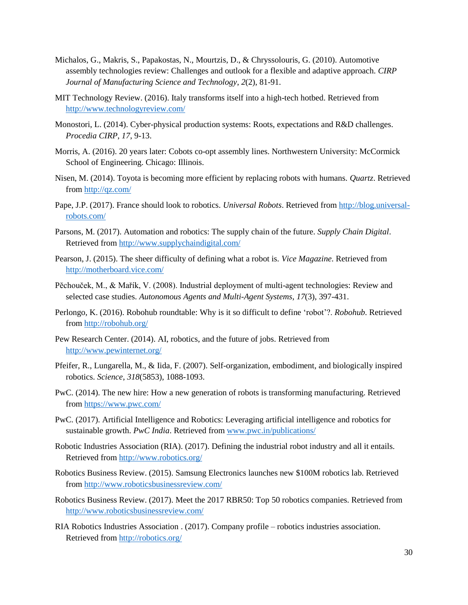- Michalos, G., Makris, S., Papakostas, N., Mourtzis, D., & Chryssolouris, G. (2010). Automotive assembly technologies review: Challenges and outlook for a flexible and adaptive approach. *CIRP Journal of Manufacturing Science and Technology*, *2*(2), 81-91.
- MIT Technology Review. (2016). Italy transforms itself into a high-tech hotbed. Retrieved from <http://www.technologyreview.com/>
- Monostori, L. (2014). Cyber-physical production systems: Roots, expectations and R&D challenges. *Procedia CIRP*, *17*, 9-13.
- Morris, A. (2016). 20 years later: Cobots co-opt assembly lines. Northwestern University: McCormick School of Engineering. Chicago: Illinois.
- Nisen, M. (2014). Toyota is becoming more efficient by replacing robots with humans. *Quartz*. Retrieved from<http://qz.com/>
- Pape, J.P. (2017). France should look to robotics. *Universal Robots*. Retrieved from [http://blog.universal](http://blog.universal-robots.com/)[robots.com/](http://blog.universal-robots.com/)
- Parsons, M. (2017). Automation and robotics: The supply chain of the future. *Supply Chain Digital*. Retrieved from<http://www.supplychaindigital.com/>
- Pearson, J. (2015). The sheer difficulty of defining what a robot is. *Vice Magazine*. Retrieved from <http://motherboard.vice.com/>
- Pĕchouček, M., & Mařík, V. (2008). Industrial deployment of multi-agent technologies: Review and selected case studies. *Autonomous Agents and Multi-Agent Systems*, *17*(3), 397-431.
- Perlongo, K. (2016). Robohub roundtable: Why is it so difficult to define 'robot'?. *Robohub*. Retrieved from<http://robohub.org/>
- Pew Research Center. (2014). AI, robotics, and the future of jobs. Retrieved from <http://www.pewinternet.org/>
- Pfeifer, R., Lungarella, M., & Iida, F. (2007). Self-organization, embodiment, and biologically inspired robotics. *Science*, *318*(5853), 1088-1093.
- PwC. (2014). The new hire: How a new generation of robots is transforming manufacturing. Retrieved from<https://www.pwc.com/>
- PwC. (2017). Artificial Intelligence and Robotics: Leveraging artificial intelligence and robotics for sustainable growth. *PwC India*. Retrieved from [www.pwc.in/publications/](http://www.pwc.in/publications/)
- Robotic Industries Association (RIA). (2017). Defining the industrial robot industry and all it entails. Retrieved from<http://www.robotics.org/>
- Robotics Business Review. (2015). Samsung Electronics launches new \$100M robotics lab. Retrieved from<http://www.roboticsbusinessreview.com/>
- Robotics Business Review. (2017). Meet the 2017 RBR50: Top 50 robotics companies. Retrieved from <http://www.roboticsbusinessreview.com/>
- RIA Robotics Industries Association . (2017). Company profile robotics industries association. Retrieved from<http://robotics.org/>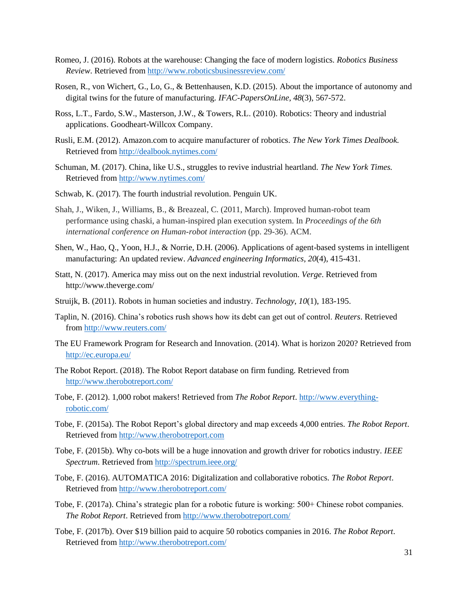- Romeo, J. (2016). Robots at the warehouse: Changing the face of modern logistics. *Robotics Business Review*. Retrieved from<http://www.roboticsbusinessreview.com/>
- Rosen, R., von Wichert, G., Lo, G., & Bettenhausen, K.D. (2015). About the importance of autonomy and digital twins for the future of manufacturing. *IFAC-PapersOnLine*, *48*(3), 567-572.
- Ross, L.T., Fardo, S.W., Masterson, J.W., & Towers, R.L. (2010). Robotics: Theory and industrial applications. Goodheart-Willcox Company.
- Rusli, E.M. (2012). Amazon.com to acquire manufacturer of robotics. *The New York Times Dealbook.* Retrieved from<http://dealbook.nytimes.com/>
- Schuman, M. (2017). China, like U.S., struggles to revive industrial heartland. *The New York Times.* Retrieved from<http://www.nytimes.com/>
- Schwab, K. (2017). The fourth industrial revolution. Penguin UK.
- Shah, J., Wiken, J., Williams, B., & Breazeal, C. (2011, March). Improved human-robot team performance using chaski, a human-inspired plan execution system. In *Proceedings of the 6th international conference on Human-robot interaction* (pp. 29-36). ACM.
- Shen, W., Hao, Q., Yoon, H.J., & Norrie, D.H. (2006). Applications of agent-based systems in intelligent manufacturing: An updated review. *Advanced engineering Informatics*, *20*(4), 415-431.
- Statt, N. (2017). America may miss out on the next industrial revolution. *Verge*. Retrieved from http://www.theverge.com/
- Struijk, B. (2011). Robots in human societies and industry. *Technology*, *10*(1), 183-195.
- Taplin, N. (2016). China's robotics rush shows how its debt can get out of control. *Reuters*. Retrieved from<http://www.reuters.com/>
- The EU Framework Program for Research and Innovation. (2014). What is horizon 2020? Retrieved from <http://ec.europa.eu/>
- The Robot Report. (2018). The Robot Report database on firm funding. Retrieved from <http://www.therobotreport.com/>
- Tobe, F. (2012). 1,000 robot makers! Retrieved from *The Robot Report*. [http://www.everything](http://www.everything-robotic.com/)[robotic.com/](http://www.everything-robotic.com/)
- Tobe, F. (2015a). The Robot Report's global directory and map exceeds 4,000 entries. *The Robot Report*. Retrieved from [http://www.therobotreport.com](http://www.therobotreport.com/)
- Tobe, F. (2015b). Why co-bots will be a huge innovation and growth driver for robotics industry. *IEEE Spectrum*. Retrieved from<http://spectrum.ieee.org/>
- Tobe, F. (2016). AUTOMATICA 2016: Digitalization and collaborative robotics. *The Robot Report*. Retrieved from<http://www.therobotreport.com/>
- Tobe, F. (2017a). China's strategic plan for a robotic future is working: 500+ Chinese robot companies. *The Robot Report*. Retrieved from<http://www.therobotreport.com/>
- Tobe, F. (2017b). Over \$19 billion paid to acquire 50 robotics companies in 2016. *The Robot Report*. Retrieved from<http://www.therobotreport.com/>